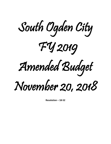

**Resolution – 18-52**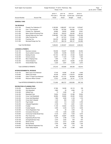| South Ogden City Corporation<br>Budget Worksheet - FY 2019 - Preliminary - May<br>Period: 11/18 |                                                               |                                   |                                 |                                   | Page:<br>Jan 04, 2019 11:49AM     |  |
|-------------------------------------------------------------------------------------------------|---------------------------------------------------------------|-----------------------------------|---------------------------------|-----------------------------------|-----------------------------------|--|
| <b>Account Number</b>                                                                           | <b>Account Title</b>                                          | 2016-17<br>Prior year 2<br>Actual | 2017-18<br>Prior year<br>Actual | 2018-19<br>Current year<br>Budget | 2018-19<br>Current year<br>Actual |  |
| <b>GENERAL FUND</b>                                                                             |                                                               |                                   |                                 |                                   |                                   |  |
| <b>TAX REVENUE</b>                                                                              |                                                               |                                   |                                 |                                   |                                   |  |
| 10-31-100                                                                                       | Property Tax Collections CY                                   | 2,165,559                         | 2,696,387                       | 3,011,244                         | 1,079,847                         |  |
| 10-31-105                                                                                       | Prop 1 Tax Increment                                          | 247,894                           | 257,092                         | 254,295                           | 111,010                           |  |
| 10-31-200                                                                                       | Property Tax - Delinguent                                     | 36,665                            | 56,635                          | 49,600                            | 15,641                            |  |
| 10-31-250                                                                                       | Motor Vehicle & Personal Prop.                                | 185,497                           | 199,223                         | 192,200                           | 89,313                            |  |
| 10-31-300                                                                                       | General Sales and Use Taxes                                   | 3,356,968                         | 3,517,398                       | 3,590,943                         | 1,533,398                         |  |
| 10-31-400                                                                                       | Utility Franchise Fee                                         | .00                               | 247,323                         | 173,322                           | 75,345                            |  |
| 10-31-500                                                                                       | Franchise Tax                                                 | 332,079                           | 320,769                         | 322,280                           | 126,425                           |  |
| 10-31-550                                                                                       | Municipal Energy Use Tax                                      | 901,971                           | 886,109                         | 948,137                           | 334,066                           |  |
| Total TAX REVENUE:                                                                              |                                                               | 7,226,633                         | 8,180,937                       | 8,542,021                         | 3,365,044                         |  |
| <b>LICENSES &amp; PERMITS</b>                                                                   |                                                               |                                   |                                 |                                   |                                   |  |
| 10-32-100                                                                                       | <b>Business Licenses</b>                                      | 136,536                           | 130,207                         | 126,696                           | 53,902                            |  |
| 10-32-160                                                                                       | Good Landlord Licenses                                        | 44,655                            | 43,459                          | 44,553                            | 24,115                            |  |
| 10-32-200                                                                                       | <b>Building Permits</b>                                       | 107,723                           | 197,748                         | 97,520                            | 15,826                            |  |
| 10-32-300                                                                                       | <b>Animal Licenses</b>                                        | 12,931                            | 11,343                          | 11,330                            | 2,453                             |  |
| 10-32-325                                                                                       | Micro-Chipping Fees                                           | 1,055                             | 1,130                           | 1,251                             | 420                               |  |
| 10-32-350                                                                                       | <b>Animal Adoptions</b>                                       | 65,095                            | 46,011                          | 62,683                            | 21,525                            |  |
| 10-32-375                                                                                       | <b>Animal Shelter Fees</b>                                    | 5,320                             | 5,947                           | 5,305                             | 2,673                             |  |
|                                                                                                 | <b>Total LICENSES &amp; PERMITS:</b>                          | 373,315                           | 435,846                         | 349,338                           | 120,914                           |  |
|                                                                                                 | <b>INTERGOVERNMENTAL REVENUE</b>                              |                                   |                                 |                                   |                                   |  |
| 10-33-150                                                                                       | State Liquor Fund Allotment                                   | 17,918                            | 19,595                          | 20,183                            | 8,400                             |  |
| 10-33-600                                                                                       | State/Local Grants                                            | 45,439                            | 28,543                          | 1,134,074                         | 324,665                           |  |
| 10-33-900                                                                                       | Class "C" Road Fund Allotment                                 | 632,285                           | 611,151                         | 653,608                           | 252,326                           |  |
| 10-33-925                                                                                       | <b>Resource Officer Contract</b>                              | 17,813                            | 23,438                          | 24,141                            | 11,719                            |  |
|                                                                                                 | Total INTERGOVERNMENTAL REVENUE:                              | 713,454                           | 682,727                         | 1,832,006                         | 597,109                           |  |
|                                                                                                 | <b>RECREATION &amp; PLANNING FEES</b>                         |                                   |                                 |                                   |                                   |  |
| 10-34-200                                                                                       | <b>Baseball Revenue</b>                                       | 27,364                            | 16,038                          | 22,115                            | 199                               |  |
| 10-34-250                                                                                       | Girls Basketball                                              | 3,965                             | 55                              | 4,984                             | $70-$                             |  |
| 10-34-300                                                                                       | Softball Fees                                                 | 73                                | 2,495                           | .00                               | .00                               |  |
| 10-34-350                                                                                       | <b>Basketball Fees</b>                                        | 18,824                            | 23,400                          | 23,386                            | 18,824                            |  |
| 10-34-352                                                                                       | Comp Youth Basketball                                         | 58,980                            | 56,860                          | 45,495                            | 15,005                            |  |
| 10-34-354                                                                                       | Comp Adult Basketball                                         | 7,985                             | 5,095                           | 4,156                             | 1,725                             |  |
| 10-34-356                                                                                       | Comp Adult Volleyball                                         | 1,125                             | 650                             | 1,555                             | .00                               |  |
| 10-34-375                                                                                       | <b>Flag Football</b>                                          | 2,620                             | $121 -$                         | 3,353                             | 2,780                             |  |
| 10-34-450                                                                                       | <b>Volleyball Registration</b>                                | 4,108                             | 716                             | 4,851                             | 3,187                             |  |
| 10-34-500                                                                                       | Football                                                      | 11,190                            | 33,922                          | 12,423                            | 1,000                             |  |
| 10-34-505                                                                                       | Football Apparel                                              | 4,595                             | 5,349                           | 4,670                             | 3,546                             |  |
| 10-34-550                                                                                       | <b>Tennis Registration Fees</b>                               | 58                                | .00                             | 1,545                             | .00                               |  |
| 10-34-575                                                                                       | <b>Concession Revenues</b>                                    | 1,194                             | 1,539                           | 2,060                             | .00                               |  |
| 10-34-600                                                                                       | <b>Community Facility Rental Fees</b>                         | 8,125                             | 3,675                           | 7,004                             | 4,075                             |  |
| 10-34-700                                                                                       | Plan Check Fee                                                | 50,667                            | 55,887                          | 34,093                            | 7,906                             |  |
| 10-34-725                                                                                       | <b>Engineering Review Fees</b>                                | 3,278                             | 3,799                           | 1,133                             | 799<br>970                        |  |
| 10-34-726<br>10-34-750                                                                          | Zoning/Subdivision Fees<br><b>Street Cut Fee</b>              | 2,470                             | 2,020                           | 644                               |                                   |  |
|                                                                                                 |                                                               | 4,233                             | 4,413                           | 6,386                             | 2,070                             |  |
| 10-34-850                                                                                       | <b>Bowery Rental</b>                                          | 5,700                             | 5,500                           | 5,562                             | 1,325                             |  |
| 10-34-875<br>10-34-900                                                                          | Sex Offender Registration Fee<br><b>Public Safety Reports</b> | 500<br>16,195                     | 450<br>19,120                   | 515<br>17,496                     | 150<br>8,835                      |  |
|                                                                                                 |                                                               |                                   |                                 |                                   |                                   |  |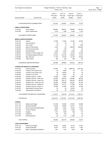|                                | South Ogden City Corporation<br>Budget Worksheet - FY 2019 - Preliminary - May<br>Period: 11/18 |                                   |                                 |                                   |                                   | Page:<br>-2<br>Jan 04, 2019 11:49AM |
|--------------------------------|-------------------------------------------------------------------------------------------------|-----------------------------------|---------------------------------|-----------------------------------|-----------------------------------|-------------------------------------|
| <b>Account Number</b>          | <b>Account Title</b>                                                                            | 2016-17<br>Prior year 2<br>Actual | 2017-18<br>Prior year<br>Actual | 2018-19<br>Current year<br>Budget | 2018-19<br>Current year<br>Actual |                                     |
|                                | Total RECREATION & PLANNING FEES:                                                               | 233,247                           | 240,861                         | 203,426                           | 72,327                            |                                     |
| <b>FINES &amp; FORFEITURES</b> |                                                                                                 |                                   |                                 |                                   |                                   |                                     |
| 10-35-200                      | Fines-Regular                                                                                   | 566,681                           | 656,472                         | 633,665                           | 278,165                           |                                     |
| 10-35-300                      | <b>Alarm Fines/Permits</b>                                                                      | 5,150                             | 7,850                           | 6,283                             | 2,150                             |                                     |
|                                | Total FINES & FORFEITURES:                                                                      | 571,831                           | 664,322                         | 639,948                           | 280,315                           |                                     |
| <b>MISCELLANEOUS REVENUE</b>   |                                                                                                 |                                   |                                 |                                   |                                   |                                     |
| 10-36-100                      | Interest                                                                                        | 47,009                            | 77,962                          | 61,000                            | 38,925                            |                                     |
| 10-36-105                      | Cash Over/Short                                                                                 | $57-$                             | 44-                             | .00                               | 5-                                |                                     |
| 10-36-200                      | Sub 4 Santa                                                                                     | .00                               | 6                               | .00                               | 1,000                             |                                     |
| 10-36-400                      | Sales of Fixed Assets                                                                           | 3,445                             | .00                             | 292,629                           | 292,628                           |                                     |
| 10-36-500                      | 75th Anniversary Sales                                                                          | 40                                | 160                             | .00                               | .00                               |                                     |
| 10-36-600                      | 560 39th Rental                                                                                 | 3,000                             | 3,000                           | 3,000                             | 500                               |                                     |
| 10-36-601                      | Donations to South Ogden City                                                                   | 18,047                            | 11,154                          | 16,704                            | 16,742                            |                                     |
| 10-36-700                      | Contractual Agreement Reven                                                                     | 119,182                           | 123,748                         | 124,906                           | 77,379                            |                                     |
| 10-36-900                      | Misc. Revenue                                                                                   | 71,183                            | 67,279                          | 24,726                            | 30,816                            |                                     |
| 10-36-950                      | <b>Traffic School</b>                                                                           | 250                               | 325                             | 258                               | 150                               |                                     |
|                                | Total MISCELLANEOUS REVENUE:                                                                    | 262,098                           | 283,590                         | 523,223                           | 458,135                           |                                     |
|                                | <b>CHARGE FOR SERVICE &amp; TRANSFERS</b>                                                       |                                   |                                 |                                   |                                   |                                     |
| 10-39-150                      | Lease Financing                                                                                 | 512,500                           | .00                             | 2,668,792                         | 1,201,306                         |                                     |
| 10-39-242                      | Transfer in from Sewer Fund                                                                     | .00                               | 9,540                           | .00                               | .00                               |                                     |
| 10-39-250                      | Transfer in from Water Fund                                                                     | .00                               | 49,820                          | .00                               | .00                               |                                     |
| 10-39-300                      | Transfer In From CPF                                                                            | .00                               | 75,243                          | .00                               | .00                               |                                     |
| 10-39-350                      | Charge for Service - CDRA                                                                       | 23,369                            | 4,675                           | 4,350                             | 1,815                             |                                     |
| 10-39-400                      | Charge for Service - Water Fnd                                                                  | 133,404                           | 138,732                         | 237,084                           | 98,785                            |                                     |
| 10-39-410                      | Charge for Service - Sewer Fnd                                                                  | 175,692                           | 182,712                         | 256,304                           | 106,795                           |                                     |
| 10-39-420                      | Charge for Svc - Storm Drn Fnd                                                                  | 136,788                           | 142,260                         | 144,397                           | 60,165                            |                                     |
| 10-39-430                      | Charge for Service - Grbge Fnd                                                                  | 108,828                           | 113,172                         | 117,999                           | 49,165                            |                                     |
| 10-39-440                      | Charge for Service - Amb Fnd                                                                    | 64,992                            | 67,584                          | 65,470                            | 27,280                            |                                     |
| 10-39-700                      | Appropriated Fund Bal-Class C                                                                   | .00                               | .00                             | 50,000                            | .00                               |                                     |
| 10-39-800                      | Appropriated Fund Balance                                                                       | .00                               | .00                             | 473,035                           | .00                               |                                     |
|                                | Total CHARGE FOR SERVICE & TRANSFERS:                                                           | 1,155,573                         | 783,738                         | 4,017,431                         | 1,545,311                         |                                     |
| Total Revenue:                 |                                                                                                 | 10,536,151                        | 11,272,021                      | 16,107,393                        | 6,439,154                         |                                     |
|                                |                                                                                                 |                                   |                                 |                                   |                                   |                                     |
| <b>COUNCIL</b>                 |                                                                                                 |                                   |                                 |                                   |                                   |                                     |
| 10-41-110                      | Salaries and Wages                                                                              | 120,109                           | 119,450                         | 121,676                           | 50,896                            |                                     |
| 10-41-130                      | <b>Employee Benefits</b>                                                                        | 23,979                            | 23,856                          | 24,477                            | 11,077                            |                                     |
| 10-41-210                      | Books, Subscrip.& Memberships                                                                   | 9,600                             | 9,870                           | 10,300                            | 10,323                            |                                     |
| 10-41-230                      | Travel & Training                                                                               | 13,621                            | 6,764                           | 6,500                             | 1,478                             |                                     |
| 10-41-240                      | Supplies                                                                                        | 1,017                             | 1,655                           | 500                               | 103                               |                                     |
| 10-41-280<br>10-41-700         | Telephone<br>Small Equipment                                                                    | 975<br>.00                        | 375<br>1,174                    | .00<br>2,500                      | .00<br>.00                        |                                     |
|                                |                                                                                                 |                                   |                                 |                                   |                                   |                                     |
| Total COUNCIL:                 |                                                                                                 | 169,302                           | 163,145                         | 165,953                           | 73,877                            |                                     |
| <b>LEGAL DEPARTMENT</b>        |                                                                                                 |                                   |                                 |                                   |                                   |                                     |
| 10-42-110                      | Salaries and Wages                                                                              | 60,792                            | 63,957                          | 72,178                            | 27,501                            |                                     |
| 10-42-130                      | <b>Employee Benefits</b>                                                                        | 16,787                            | 16,757                          | 18,074                            | 7,263                             |                                     |
| 10-42-210                      | Books, Subscriptions & Member                                                                   | 1,601                             | 1,154                           | 1,000                             | 469                               |                                     |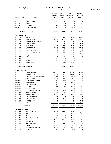| South Ogden City Corporation<br>Budget Worksheet - FY 2019 - Preliminary - May |                                |                                   |                                 |                                   | Page:                             |                      |  |
|--------------------------------------------------------------------------------|--------------------------------|-----------------------------------|---------------------------------|-----------------------------------|-----------------------------------|----------------------|--|
|                                                                                |                                | Period: 11/18                     |                                 |                                   |                                   | Jan 04, 2019 11:49AM |  |
| <b>Account Number</b>                                                          | <b>Account Title</b>           | 2016-17<br>Prior year 2<br>Actual | 2017-18<br>Prior year<br>Actual | 2018-19<br>Current year<br>Budget | 2018-19<br>Current year<br>Actual |                      |  |
| 10-42-230                                                                      | Travel & Training              | 570                               | 544                             | 500                               | 355                               |                      |  |
| 10-42-240                                                                      | Supplies                       | .00                               | .00                             | 500                               | .00                               |                      |  |
| 10-42-280                                                                      | Telephone                      | 975                               | 900                             | 900                               | 375                               |                      |  |
| 10-42-320                                                                      | <b>Prosecutorial Fees</b>      | 1,600                             | 800                             | 1,000                             | 400                               |                      |  |
|                                                                                | Total LEGAL DEPARTMENT:        | 82,325                            | 84,113                          | 94,152                            | 36,363                            |                      |  |
| <b>Court Department</b>                                                        |                                |                                   |                                 |                                   |                                   |                      |  |
| 10-43-110                                                                      | Salaries & Wages               | 128,685                           | 141,188                         | 146,182                           | 61,438                            |                      |  |
| 10-43-130                                                                      | <b>Employee Benefits</b>       | 65,751                            | 55,380                          | 58,670                            | 24,910                            |                      |  |
| 10-43-210                                                                      | Books, Subscriptions, & Mbrshp | 477                               | 552                             | 500                               | 493                               |                      |  |
| 10-43-230                                                                      | Travel & Training              | 774                               | 584                             | 1,500                             | 1,075                             |                      |  |
| 10-43-240                                                                      | <b>Office Supplies</b>         | 3,300                             | 2,879                           | 2,500                             | 1,069                             |                      |  |
| 10-43-275                                                                      | State Surcharge                | 141,713                           | 166,915                         | 140,000                           | 68,606                            |                      |  |
| 10-43-280                                                                      | Telephone                      | 225                               | 300                             | 300                               | 125                               |                      |  |
| 10-43-300                                                                      | <b>Public Defender Fees</b>    | 14,900                            | 20,400                          | 15,000                            | 7,800                             |                      |  |
| 10-43-310                                                                      | Professional & Technical       | 2,919                             | 2,338                           | 3,500                             | 1,184                             |                      |  |
| 10-43-329                                                                      | <b>Computer Repairs</b>        | 94                                | .00                             | 250                               | 50                                |                      |  |
| 10-43-330                                                                      | <b>Witness Fees</b>            | 1,129                             | 407                             | 1,400                             | 259                               |                      |  |
| 10-43-650                                                                      | Lease Payments                 | 1,318                             | .00                             | .00                               | .00                               |                      |  |
| 10-43-700                                                                      | Small Equipment                | 724                               | 299                             | 350                               | 17                                |                      |  |
| 10-43-750                                                                      | Capital Outlay                 | .00                               | 4,190                           | 2,745                             | 2,745                             |                      |  |
|                                                                                | <b>Total Court Department:</b> | 362,008                           | 395,432                         | 372,897                           | 169,772                           |                      |  |
| <b>ADMINISTRATION</b>                                                          |                                |                                   |                                 |                                   |                                   |                      |  |
| 10-44-110                                                                      | Salaries and Wages             | 481,480                           | 526,554                         | 542,364                           | 224,984                           |                      |  |
| 10-44-130                                                                      | <b>Employee Benefits</b>       | 219,351                           | 219,077                         | 228,599                           | 97,619                            |                      |  |
| 10-44-210                                                                      | Books, Subscriptions & Member  | 2,966                             | 3,214                           | 4,000                             | 1,288                             |                      |  |
| 10-44-230                                                                      | Travel & Training              | 11,188                            | 12,873                          | 17,000                            | 7,033                             |                      |  |
| 10-44-240                                                                      | Office Supplies & Miscell      | 5,666                             | 4,701                           | 7,500                             | 994                               |                      |  |
| 10-44-247                                                                      | Car Allowance                  | 7,371                             | 6,804                           | 6,804                             | 2,835                             |                      |  |
| 10-44-248                                                                      | Vehicle Maintenance            | 449                               | 60                              | 500                               | 90                                |                      |  |
| 10-44-280                                                                      | Telephone                      | 5,887                             | 5,195                           | 4,980                             | 2,035                             |                      |  |
| 10-44-300                                                                      | Gas, Oil & Tires               | 1,105                             | 517                             | 750                               | 259                               |                      |  |
| 10-44-310                                                                      | Professional & Technical       | 18,797                            | 4,264                           | 8,500                             | 2,836                             |                      |  |
| 10-44-329                                                                      | <b>Computer Repairs</b>        | 222                               | 118                             | 250                               | .00                               |                      |  |
| 10-44-600                                                                      | Service Charges                | 33,324                            | 35,978                          | 35,676                            | 16,558                            |                      |  |
| 10-44-649                                                                      | Lease Interest/Taxes           | 339                               | 29                              | .00                               | .00                               |                      |  |
| 10-44-650                                                                      | Lease Payments                 | 2,513                             | 2,731                           | .00                               | .00                               |                      |  |
| 10-44-700                                                                      | Small Equipment                | 1,125                             | 88                              | 1,500                             | 1,196                             |                      |  |
| 10-44-750                                                                      | Capital Outlay                 | 2,910                             | .00                             | 9,122                             | 9,122                             |                      |  |
|                                                                                | Total ADMINISTRATION:          | 794,691                           | 822,204                         | 867,545                           | 366,850                           |                      |  |
| <b>NON-DEPARTMENTAL</b>                                                        |                                |                                   |                                 |                                   |                                   |                      |  |
| 10-49-130                                                                      | <b>Retirement Benefits</b>     | 39,301                            | 21,748                          | 20,496                            | 2,864                             |                      |  |
| 10-49-220                                                                      | <b>Public Notices</b>          | 4,555                             | 6,034                           | 5,000                             | 1,800                             |                      |  |
| 10-49-250                                                                      | Unemployment                   | 58                                | .00                             | 2,000                             | .00                               |                      |  |
| 10-49-255                                                                      | Ogden Weber Chamber Fees       | 3,000                             | .00                             | 3,000                             | .00                               |                      |  |
| 10-49-260                                                                      | <b>Workers Compensation</b>    | 79,017                            | 137,552                         | 121,720                           | 55,698                            |                      |  |
| 10-49-290                                                                      | <b>City Postage</b>            | 43,512                            | 40,000                          | 52,000                            | 10,000                            |                      |  |
| 10-49-291                                                                      | <b>Newsletter Printing</b>     | 10,532                            | 7,618                           | 7,500                             | 2,977                             |                      |  |
| 10-49-310                                                                      | <b>Auditors</b>                | 10,000                            | 10,000                          | 12,500                            | 10,000                            |                      |  |
| 10-49-320                                                                      | Professional & Technical       | 27,662                            | 30,964                          | 40,500                            | 28,671                            |                      |  |
| 10-49-321                                                                      | I/T Supplies                   | 1,911                             | 3,278                           | 3,000                             | 2,375                             |                      |  |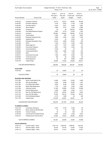|                                          |                                                       | Period: 11/18   |                |                 |                 |
|------------------------------------------|-------------------------------------------------------|-----------------|----------------|-----------------|-----------------|
|                                          |                                                       | 2016-17         | 2017-18        | 2018-19         | 2018-19         |
|                                          |                                                       | Prior year 2    | Prior year     | Current year    | Current year    |
| <b>Account Number</b>                    | <b>Account Title</b>                                  | Actual          | Actual         | Budget          | Actual          |
| 10-49-322                                | <b>Computer Contracts</b>                             | 53,773          | 60,221         | 60,000          | 46,399          |
| 10-49-323                                | City-wide Telephone                                   | 5,739           | 6,623          | 5,700           | 2,188           |
| 10-49-324                                | City-wide Internet                                    | 6,323           | 6,327          | 6,360           | 2,662           |
| 10-49-329                                | <b>Server Repairs</b>                                 | 3,899           | 5,514          | 5,000           | 2,066           |
| 10-49-400                                | Unreserved                                            | .00             | .00            | 164,253         | 15,000          |
| 10-49-500                                | City Safety/Wellness Program                          | 3,600           | 6,733          | 12,000          | 1,000           |
| 10-49-510                                | Insurance                                             | 180,854         | 179,624        | 199,500         | 70,726          |
| 10-49-515                                | <b>City Donations</b>                                 | 4,300           | 500            | 4,100           | 3,600           |
| 10-49-520                                | Employee Assistance Plan                              | 3,600           | 3,600          | 3,600           | 1,500           |
| 10-49-596                                | <b>Holiday Dinner</b>                                 | 5,440           | .00            | 5,500           | .00             |
| 10-49-597                                | <b>Employee Recognition Prog</b>                      | 10,244          | 5,998          | 10,000          | 200             |
| 10-49-598                                | OFFH                                                  | 1,449           | 2,519          | 4,200           | 2,565           |
| 10-49-599                                | Easter Egg Hunt                                       | 2,810           | 1,815          | 3,000           | .00             |
| 10-49-600                                | <b>Community Programs</b>                             | 5,061           | 1,502          | 4,000           | 432             |
| 10-49-601                                | <b>Community Brand</b>                                | 6,106           | .00            | .00             | .00             |
| 10-49-605                                | Continuing Education                                  | 5,801           | 3,685          | 7,000           | 522             |
| 10-49-607                                | Soba                                                  | 1,157           | 777            | 1,200           | 626             |
| 10-49-610                                | Government Immunity                                   | 1,548           | 4,380          | 6,500           | 255             |
| 10-49-620                                | Youth City Council                                    | 452             | .00            | 3,000           | .00             |
| 10-49-700                                | Small Equipment                                       | .00             | 937            | 9,885           | 9,760           |
| 10-49-750                                | Capital Outlay                                        | 36,590          | 10,300         | 62,983          | 59,077          |
|                                          | Total NON-DEPARTMENTAL:                               | 558,293         | 558,250        | 845,497         | 332,962         |
| <b>ELECTIONS</b>                         |                                                       |                 |                |                 |                 |
| 10-50-240                                | Supplies                                              | 24              | 16,845         | .00             | .00             |
| Total ELECTIONS:                         |                                                       | 24              | 16,845         | .00             | .00             |
|                                          |                                                       |                 |                |                 |                 |
| <b>BUILDING AND GROUNDS</b><br>10-51-260 |                                                       |                 |                |                 |                 |
|                                          | Senior Center Maint & Util                            | 14,658          | 12,924         | 12,000          | 4,289           |
| 10-51-262                                | Old City Hall Utilities<br>Fire Station #82 Utilities | 6,394<br>8,559  | 6,499<br>8,188 | 10,000          | 1,457           |
| 10-51-263<br>10-51-264                   | Station #82 Maintenance                               |                 | 1,035          | 8,000           | 2,932<br>3,454  |
| 10-51-265                                | <b>Cleaning Contract</b>                              | 1,130<br>21,394 | 20,969         | 2,000<br>27,000 |                 |
| 10-51-266                                |                                                       | 5,499           | 5,683          | 6,000           | 10,998<br>4,717 |
| 10-51-270                                | Elevator Maintenance<br>New City Hall Maintenance     | 27,047          | 36,816         | 30,000          | 9,802           |
| 10-51-275                                | New City Hall Utilities                               | 75,445          | 98,124         | 70,000          | 28,313          |
| 10-51-280                                | Old City Building Repairs                             | 5,175           | 1,086          | .00             | 390             |
| 10-51-750                                | Capital Outlay                                        | 770,978         | 60,081         | 60,081          | .00             |
|                                          | Total BUILDING AND GROUNDS:                           | 936,278         | 251,405        | 225,081         | 66,352          |
|                                          |                                                       |                 |                |                 |                 |
| <b>PLANNING &amp; ZONING</b>             | <b>Commission Allowance</b>                           |                 |                |                 |                 |
| 10-52-120                                |                                                       | 4,575           | 5,725          | 6,300           | .00             |
| 10-52-210                                | Books, Subscrip, Memberships                          | 23              | 30             | 250             | .00             |
| 10-52-230<br>10-52-240                   | Travel & Training<br>Commercial Form Based Zoning     | 30<br>5,000     | 53             | 500<br>5,000    | .00<br>9,923    |
|                                          |                                                       |                 | 4,218          |                 |                 |
| 10-52-310                                | Professional & Technical Servi                        | 97,653          | 74,533         | 60,000          | 28,046          |
|                                          | Total PLANNING & ZONING:                              | 107,281         | 84,559         | 72,050          | 37,969          |
| <b>POLICE SERVICES</b>                   |                                                       |                 |                |                 |                 |
| 10-55-110                                | Full time wages - Police                              | 1,437,119       | 1,506,783      | 1,559,547       | 627,679         |
| 10-55-111                                | Part time wages - Police                              | 36,705          | 30,744         | 31,845          | 13,439          |

10-55-112 Overtime wages - Police 46,574 31,510 35,000 14,507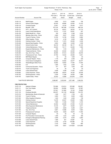|  | South Ogden City Corporation |
|--|------------------------------|
|--|------------------------------|

## Budget Worksheet - FY 2019 - Preliminary - May Page: 5 Period: 11/18 **Decision 12019** Jan 04, 2019 11:49AM

|                        |                                      | 2016-17      | 2017-18    | 2018-19      | 2018-19      |
|------------------------|--------------------------------------|--------------|------------|--------------|--------------|
|                        |                                      | Prior year 2 | Prior year | Current year | Current year |
| <b>Account Number</b>  | <b>Account Title</b>                 | Actual       | Actual     | Budget       | Actual       |
| 10-55-114              | <b>Bailiff Wages</b>                 | 8,609        | 5,313      | 14.806       | 758          |
| 10-55-115              | Animal Control Wages                 | 62,420       | 48,985     | 52,843       | 21,470       |
| 10-55-116              | <b>Crossing Guards</b>               | 12,841       | 14,154     | 30,406       | 5,517        |
| 10-55-130              | Benefits - DPS                       | 973,126      | 997,286    | 1,114,543    | 466,126      |
| 10-55-131              | WTC - A/C Contract                   | 26,124       | 49,431     | 36,523       | 21,715       |
| 10-55-132              | <b>Liquor Funds Expenditures</b>     | 10,310       | 17,337     | 52,641       | 287          |
| 10-55-150              | Death Benefit Ins. - Police          | 355          | 2,350      | 2,395        | 2,234        |
| 10-55-210              | Mbrshps, Bks & Sub - Police          | 4,845        | 6,227      | 6,500        | 5,810        |
| 10-55-230              | Travel & Training - Police           | 12,780       | 14,199     | 15,500       | 6,882        |
| 10-55-240              | Office Supplies - Police             | 5,216        | 4,109      | 6,000        | 1,468        |
| 10-55-245              | Clothing Contract - Police           | 16,144       | 11,074     | 20,000       | 2,436        |
| 10-55-246              | Special Dept Supplies - Police       | 6,824        | 9,892      | 14,000       | 1,548        |
| 10-55-247              | <b>Animal Control Costs</b>          | 95,418       | 49,149     | 56,117       | 23,122       |
| 10-55-248              | Vehicle Maintenance - Police         | 25,643       | 19,117     | 22,000       | 7,469        |
| 10-55-250              | Equipment Maintenance - Police       | 636          | 1,103      | 2,000        | .00          |
| 10-55-280              | Telephone/Internet - Police          | 25,646       | 23,432     | 22,500       | 8,129        |
| 10-55-300              | Gas, Oil & Tires - Police            | 46,906       | 57,412     | 54,000       | 23,678       |
| 10-55-310              | Professional & Tech - Police         | 27,782       | 10,432     | 20,000       | 8.351        |
| 10-55-323              | <b>MDT/Radio Repairs</b>             | 93           | .00        | 1,500        | .00          |
| 10-55-329              | Computer Repairs - Police            | 1,176        | 429        | 2,400        | 329          |
| 10-55-350              | <b>Crime Scene Investigations</b>    | 34,809       | 33,562     | 32,577       | 32,577       |
| 10-55-400              | Weber/Morgan Strike Force            | 16,852       | 16,852     | 17,094       | 17,094       |
| 10-55-450              | K-9                                  | 1,585        | 1,402      | 2,000        | .00          |
| 10-55-470              | Community Education - Police         | 571          | 627        | 1,000        | 603          |
| 10-55-475              | Youth Court Expenses                 | 40           | .00        | .00          | .00          |
| 10-55-649              | Lease Interest/Taxes                 | 9,008        | 5,389      | 17,453       | 2,453        |
| 10-55-650              | Lease Payments - Police              | 120,098      | 38,975     | 78,320       | 24,638       |
| 10-55-700              | Small Equipment - Police             | 5,259        | 11,298     | 34,000       | 1,986        |
| 10-55-750              | Capital Outlay - Police              | 25,453       | 13,969     | 515,978      | 5,934        |
|                        |                                      |              |            |              |              |
|                        | <b>Total POLICE SERVICES:</b>        | 3,096,967    | 3,032,540  | 3,871,488    | 1,348,239    |
| <b>FIRE PROTECTION</b> |                                      |              |            |              |              |
| 10-57-110              | Salaries & Wages                     | 733,068      | 814,614    | 870,588      | 354,061      |
| 10-57-111              | Part Time Wages                      | 158,092      | 193,896    | 154,631      | 67,567       |
| 10-57-112              | Overtime                             | 127,821      | 121,882    | 70,743       | 76,890       |
| 10-57-130              | <b>Employee Benefits</b>             | 349,237      | 341,159    | 409,096      | 191,075      |
| 10-57-210              | Memberships, Books & Subscrptn       | 1,349        | 1,677      | 1,700        | 261          |
| 10-57-230              | Travel & Training                    | 4,900        | 7,431      | 9,000        | 2,460        |
| 10-57-240              | Office Supplies & Expense            | 1,545        | 1,435      | 2,000        | 738          |
| 10-57-245              | <b>Clothing Contract</b>             | 13,278       | 24,547     | 23,000       | 7,960        |
| 10-57-246              | <b>Special Department Supplies</b>   | 7,585        | 11,246     | 17,000       | 3,105        |
| 10-57-250              | Vehicle Maintenance                  | 24,552       | 25,095     | 27,000       | 11,243       |
| 10-57-255              | Other Equipment Maintenance          | 10,120       | 4,877      | 10,000       | 3,611        |
| 10-57-280              | Telephone/Internet                   | 9,289        | 8,609      | 9,289        | 2,937        |
| 10-57-300              | Gas, Oil & Tires                     | 6,691        | 13,988     | 8,000        | 7,683        |
| 10-57-310              | Professional & Technical             | 16,048       | 5,629      | 16,870       | 11,500       |
| 10-57-329              | <b>Computer Repairs</b>              | 83           | .00        | .00          | .00          |
| 10-57-330              | Fire Prevention/ Community Edu       | 1,499        | 1,323      | 1,500        | 388          |
| 10-57-400              | <b>Emergency Management Planning</b> | 4,599        | 5,370      | 6,000        | 5,060        |
| 10-57-649              | Lease Interest/Taxes                 | 1,089        | 601        | 24,887       | .00          |
| 10-57-650              | Lease Payments                       | 4,748        | 5,193      | 144,086      | .00          |
| 10-57-700              | Small Equipment                      | 2,152        | 3,464      | 5,000        | 864          |
| 10-57-750              | Capital Outlay                       | 4,976        | 6,651      | 1,014,629    | 1,013,999    |
|                        |                                      |              |            |              |              |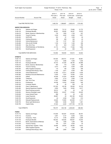| South Ogden City Corporation            | Page:<br>б<br>Jan 04, 2019 11:49AM                        |                                   |                                 |                                   |                                   |  |
|-----------------------------------------|-----------------------------------------------------------|-----------------------------------|---------------------------------|-----------------------------------|-----------------------------------|--|
| <b>Account Number</b>                   | <b>Account Title</b>                                      | 2016-17<br>Prior year 2<br>Actual | 2017-18<br>Prior year<br>Actual | 2018-19<br>Current year<br>Budget | 2018-19<br>Current year<br>Actual |  |
|                                         | Total FIRE PROTECTION:                                    | 1,482,720                         | 1,598,687                       | 2,825,019                         | 1,761,402                         |  |
|                                         |                                                           |                                   |                                 |                                   |                                   |  |
| <b>INSPECTION SERVICES</b><br>10-58-110 | Salaries and Wages                                        | 68,652                            | 73,112                          | 75,806                            | 31,772                            |  |
| 10-58-130                               | <b>Employee Benefits</b>                                  | 36,281                            | 36,262                          | 36,407                            | 15,975                            |  |
| 10-58-210                               | Books, Subscrip. & Memberships                            | 735                               | 1,605                           | 1,700                             | 207                               |  |
| 10-58-230                               | Travel & Training                                         | 3,235                             | 4,402                           | 4,500                             | 1,877                             |  |
| 10-58-240                               | <b>SUPPLIES</b>                                           | 353                               | 91                              | 1,000                             | 60                                |  |
| 10-58-245                               | <b>Clothing Allowance</b>                                 | 186                               | 269                             | 300                               | .00                               |  |
| 10-58-248                               | Vehicle Maintenance                                       | 130                               | 1,147                           | 500                               | .00                               |  |
| 10-58-280                               | <b>CELLULAR PHONE</b>                                     | 1,195                             | 1,183                           | 1,300                             | 306                               |  |
| 10-58-300                               | Gas, Oil & Tires                                          | 551                               | 943                             | 1,000                             | 766                               |  |
| 10-58-315                               | PROFESSIONAL & TECHNICAL                                  | 21,774                            | 37,041                          | 17,500                            | 1,859                             |  |
| 10-58-700                               | Small Equipment                                           | .00                               | .00                             | 800                               | .00                               |  |
|                                         | Total INSPECTION SERVICES:                                | 133,092                           | 156,055                         | 140,813                           | 52,822                            |  |
| <b>STREETS</b>                          |                                                           |                                   |                                 |                                   |                                   |  |
| 10-60-110                               | Salaries and Wages                                        | 197,834                           | 209,701                         | 217,651                           | 90,881                            |  |
| 10-60-112                               | Overtime                                                  | 3,212                             | 4,566                           | 7,000                             | 1,036                             |  |
| 10-60-130                               | <b>Employee Benefits</b>                                  | 87,412                            | 91,545                          | 98,795                            | 44,988                            |  |
| 10-60-210                               | Books, Subscrip. Memberships                              | 904                               | 716                             | 1,500                             | 266                               |  |
| 10-60-230                               | Travel & Training                                         | 5,413                             | 3,704                           | 5,500                             | 1,638                             |  |
| 10-60-240                               | Office Supplies & Expense                                 | 110                               | 190                             | 1,000                             | 299                               |  |
| 10-60-245                               | Clothing/Uniform/Equip. Allow.                            | 1,740                             | 2,971                           | 4,500                             | 844                               |  |
| 10-60-248                               | Vehicle Maintenance                                       | 21,550                            | 37,511                          | 25,000                            | 5,426                             |  |
| 10-60-260                               | <b>Building &amp; Grounds Maintenance</b>                 | 6,300                             | 7,037                           | 10,000                            | 1,870                             |  |
| 10-60-270                               | <b>Utilities</b>                                          | 45,459                            | 51,616                          | 48,000                            | 13,195                            |  |
| 10-60-280                               | Telephone                                                 | 4,604                             | 2,714                           | 3,500                             | 1,159                             |  |
| 10-60-300                               | Gas, Oil & Tires                                          | 11,327                            | 19,989                          | 18,000                            | 7,343                             |  |
| 10-60-310                               | Professional                                              | 44,436                            | 13,816                          | 23,000                            | 626                               |  |
| 10-60-329                               | <b>Computer Repairs</b>                                   | 36                                | .00                             | 500                               | .00                               |  |
| 10-60-400<br>10-60-480                  | Class C Maintenance<br><b>Special Department Supplies</b> | 107,222<br>9,550                  | 49,128<br>7,409                 | 80,000<br>19,000                  | 18,132<br>8,217                   |  |
| 10-60-510                               | Road Proj/Improvements                                    | 25,513                            | .00                             | .00                               | .00                               |  |
| 10-60-600                               | Siemens Streetlight Lease                                 | 38,904                            | 40,227                          | 41,595                            | 20,625                            |  |
| 10-60-649                               | Lease Interest/Taxes                                      | 888                               | .00                             | .00                               | 222                               |  |
| 10-60-650                               | Lease Payments                                            | 68,867                            | .00                             | 242,189                           | 16,224                            |  |
| 10-60-700                               | Small Equipment                                           | .00                               | 4,358                           | 7,000                             | 610                               |  |
| 10-60-725                               | Sidewalk Replacements                                     | 23,625                            | 73,993                          | 343,559                           | 4,171                             |  |
| 10-60-730                               | Street Light Maintenance                                  | 7,889                             | 5,546                           | 18,000                            | 1,481                             |  |
| 10-60-750                               | Capital Outlay                                            | 37,943                            | 6,400                           | 1,077,736                         | 147,139                           |  |
| <b>Total STREETS:</b>                   |                                                           | 750,737                           | 633,136                         | 2,293,025                         | 386,392                           |  |
| <b>PARKS</b>                            |                                                           |                                   |                                 |                                   |                                   |  |
| 10-70-110                               | Salaries and Wages                                        | 174,939                           | 190,367                         | 219,552                           | 88,767                            |  |
| 10-70-112                               | Overtime                                                  | 3,091                             | 3,137                           | 5,000                             | 1,833                             |  |
| 10-70-120                               | Temporary - Parks                                         | 13,114                            | 4,780                           | 20,600                            | 3,299                             |  |
| 10-70-130                               | <b>Employee Benefits</b>                                  | 106,302                           | 129,355                         | 169,937                           | 73,030                            |  |
| 10-70-210                               | Books, Subscriptions & Mbrshps                            | 740                               | 1,050                           | 1,200                             | 440                               |  |
| 10-70-230                               | Travel & Training                                         | 755                               | 1,251                           | 5,500                             | .00                               |  |
| 10-70-240                               | Special Dept. Supplies - Parks                            | 24,994                            | 29,444                          | 36,500                            | 9,815                             |  |
| 10-70-244                               | <b>Office Supplies Expense</b>                            | 98                                | 4                               | 1,000                             | 229                               |  |
| 10-70-245                               | Clothing/Uniform/Equip. Allow.                            | 1,966                             | 2,855                           | 4,000                             | 653                               |  |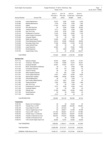| South Ogden City Corporation |                             |                                   | Budget Worksheet - FY 2019 - Preliminary - May<br>Period: 11/18 |                                   |                                   |  |  |
|------------------------------|-----------------------------|-----------------------------------|-----------------------------------------------------------------|-----------------------------------|-----------------------------------|--|--|
| Account Number               | <b>Account Title</b>        | 2016-17<br>Prior year 2<br>Actual | 2017-18<br>Prior year<br>Actual                                 | 2018-19<br>Current year<br>Budget | 2018-19<br>Current year<br>Actual |  |  |
| 10-70-248                    | Vehicle Maintenance         | 16,037                            | 6,382                                                           | 12,000                            | 2,235                             |  |  |
| 10-70-260                    | <b>Building Maintenance</b> | 3,744                             | 4,794                                                           | 4,000                             | 1,300                             |  |  |
| 10-70-270                    | <b>Utilities</b>            | 11,323                            | 46,274                                                          | 11,000                            | 3,969                             |  |  |
| 10-70-275                    | Off Leash Dog Area          | .00                               | 8,394                                                           | 73,606                            | 55,229                            |  |  |
| 10-70-280                    | Telephone/Internet          | 4,711                             | 6,367                                                           | 6,000                             | 1,582                             |  |  |
| 10-70-300                    | Gas, Oil & Tires            | 6,476                             | 8,793                                                           | 7,000                             | 3,480                             |  |  |
| 10-70-310                    | Proffesional & Technical    | 11,618                            | 5,766                                                           | 15,000                            | 1,759                             |  |  |
| 10-70-320                    | Urban Forestry Commssion    | 3,203                             | 1,008                                                           | 1,000                             | .00                               |  |  |
| 10-70-329                    | <b>Computer Repairs</b>     | .00                               | .00                                                             | 500                               | .00                               |  |  |
| 10-70-450                    | <b>RAMP Grant Projects</b>  | 14,546                            | 3,367                                                           | 82.122                            | .00                               |  |  |
| 10-70-550                    | Parks Maintenance Projects  | 22,810                            | 45,380                                                          | 1,024,448                         | 48,084                            |  |  |
| 10-70-600                    | Secondary Water Fees        | 17,496                            | 23,506                                                          | 27,500                            | 22,738                            |  |  |
| 10-70-649                    | Lease Interest/Taxes        | 445                               | .00                                                             | .00                               | 270                               |  |  |
| 10-70-650                    | Lease Payments              | 34,464                            | .00                                                             | 75.460                            | 19,698                            |  |  |
| 10-70-700                    | Small Equipment             | 374                               | 3,805                                                           | 5,000                             | .00                               |  |  |
| 10-70-750                    | Capital Outlay- Parks       | .00                               | .00.                                                            | 347,264                           | 155,277                           |  |  |
|                              |                             |                                   |                                                                 |                                   |                                   |  |  |

Total PARKS: 473,246 526,080 2,155,189 493,686

| <b>RECREATION</b> |                                    |            |            |            |           |
|-------------------|------------------------------------|------------|------------|------------|-----------|
| 10-71-110         | Salaries & Wages                   | 43,874     | 48,961     | 50,761     | 21,041    |
| 10-71-125         | Temporary - Recreation             | 71,308     | 70,066     | 73,610     | 26,221    |
| 10-71-130         | <b>Employee Benefits</b>           | 35,491     | 37,007     | 40,217     | 18,515    |
| 10-71-210         | Books, Subscriptions & Mbrshps     | 39         | 43         | 5,000      | 388       |
| 10-71-225         | <b>Concession Expenses</b>         | 720        | 733        | 2,000      | .00       |
| 10-71-230         | Travel & Training                  | 58         | .00        | 2,000      | .00       |
| 10-71-240         | <b>Office Supplies Expense</b>     | 101        | 520        | 1,200      | 26        |
| 10-71-241         | Comp League Expenses               | 9,447      | 4,874      | 10,000     | 9,539     |
| 10-71-242         | Special Dept. Supplies             | 18,869     | 36,290     | 30,000     | 3,171     |
| 10-71-248         | Vehicle Maintenance                | 46         | 70         | 1,000      | 13        |
| 10-71-250         | Gym Facility Utilities/Opertns     | 5,778      | 5,647      | 8,000      | .00       |
| 10-71-280         | Telephone/Internet                 | 3,263      | 3,923      | 3,500      | 1,369     |
| 10-71-300         | Gas, Oil & Tires                   | .00        | .00.       | 1,000      | .00       |
| 10-71-310         | Professional & Technical           | 8,151      | 8,054      | 9,000      | 6,181     |
| 10-71-329         | <b>Computer Repairs</b>            | .00        | .00        | 500        | .00       |
| 10-71-350         | <b>Officials Fees</b>              | 21,495     | 26,961     | 22,000     | 6,255     |
| 10-71-700         | Small Equipment                    | .00        | .00        | 4,500      | .00       |
| 10-71-750         | Capital Outlay                     | 2,213      | .00        | .00        | .00       |
|                   | <b>Total RECREATION:</b>           | 220,854    | 243,149    | 264,288    | 92,720    |
| <b>TRANSFERS</b>  |                                    |            |            |            |           |
| 10-80-160         | Reserve for Fund Balance           | .00        | .00        | 72,446     | .00       |
| 10-80-170         | Transfer Prop 1 to CPF             | .00        | 246,888    | 254,295    | 105,955   |
| 10-80-190         | Trans Utility F/F to CPF           | .00        | 247,323    | .00        | .00       |
| 10-80-230         | Trans to Capital Improv Fund       | .00        | 249,617    | 97,058     | 97,058    |
| 10-80-235         | Trans to CPF - Class 'C'           | 511,752    | 292,561    | 331,101    | 137,960   |
| 10-80-240         | Transfer Class 'c' to Debt Ser     | 242,630    | 242,010    | 242,507    | 101,045   |
| 10-80-250         | Transfer to Debt Service Fund      | 822,570    | 815,037    | 839,984    | 349,995   |
| 10-80-251         | Transfer to Ambulance Fund         | .00        | .00        | 27,005     | .00       |
| 10-80-275         | Trnfr to South Ogden Days Fund     | 82,000     | 72,781     | 50,000     | 20,835    |
|                   | <b>Total TRANSFERS:</b>            | 1,658,952  | 2,166,217  | 1,914,396  | 812,848   |
|                   | Total Expenditure:                 | 10,826,768 | 10,731,817 | 16,107,393 | 6,032,253 |
|                   | <b>GENERAL FUND Revenue Total:</b> | 10,536,151 | 11,272,021 | 16,107,393 | 6,439,154 |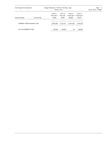| South Ogden City Corporation           |                      | Budget Worksheet - FY 2019 - Preliminary - May<br>Period: 11/18      |            |                                          |                                   | Page: $8$<br>Jan 04, 2019 11:49AM |
|----------------------------------------|----------------------|----------------------------------------------------------------------|------------|------------------------------------------|-----------------------------------|-----------------------------------|
| <b>Account Number</b>                  | <b>Account Title</b> | 2016-17<br>2017-18<br>Prior year 2<br>Prior year<br>Actual<br>Actual |            | 2018-19<br>Current year<br><b>Budget</b> | 2018-19<br>Current year<br>Actual |                                   |
| <b>GENERAL FUND Expenditure Total:</b> |                      | 10.826.768                                                           | 10.731.817 | 16.107.393                               | 6,032,253                         |                                   |
| Net Total GENERAL FUND:                |                      | 290.618-                                                             | 540.204    | .00                                      | 406.902                           |                                   |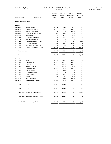| South Ogden City Corporation |                                          | Budget Worksheet - FY 2019 - Preliminary - May<br>Period: 11/18 | Page: 9<br>Jan 04, 2019 11:49AM |                                          |                                   |  |
|------------------------------|------------------------------------------|-----------------------------------------------------------------|---------------------------------|------------------------------------------|-----------------------------------|--|
| <b>Account Number</b>        | <b>Account Title</b>                     | 2016-17<br>Prior year 2<br>Actual                               | 2017-18<br>Prior year<br>Actual | 2018-19<br>Current year<br><b>Budget</b> | 2018-19<br>Current year<br>Actual |  |
| South Ogden Days Fund        |                                          |                                                                 |                                 |                                          |                                   |  |
| Revenue                      |                                          |                                                                 |                                 |                                          |                                   |  |
| 12-30-200                    | <b>Sponsor Donations</b>                 | 13,277                                                          | 18,126                          | 22,000                                   | .00                               |  |
| 12-30-225                    | <b>Vendor Booth Rentals</b>              | 10,730                                                          | 16,375                          | 26,000                                   | .00                               |  |
| 12-30-250                    | <b>Carnival Ticket Sales</b>             | 6,192                                                           | 6,588                           | 6,000                                    | .00                               |  |
| 12-30-260                    | <b>Pickleball Registration Fees</b>      | 660                                                             | 1,220                           | 1,500                                    | .00                               |  |
| 12-30-270                    | <b>Advertising Fees</b>                  | .00.                                                            | 4,820                           | 7,000                                    | .00                               |  |
| 12-30-300                    | Fun Run Entrance Fees                    | 460                                                             | 2,090                           | 1,500                                    | .00                               |  |
| 12-30-310                    | Kids' K Entrance Fees                    | 45                                                              | .00                             | .00                                      | .00                               |  |
| 12-30-325                    | Miscellaneous Sales & Fees               | 47                                                              | 55                              | .00                                      | 1,721                             |  |
| 12-30-330                    | Mud Volleyball Fees                      | 800                                                             | 2,850                           | 2,500                                    | .00                               |  |
| 12-30-350                    | Golf Tourney Entrance Fees               | 4,800                                                           | 7,420                           | 4,600                                    | .00                               |  |
| 12-30-400                    | Transfer in from General Fund            | 82,000                                                          | 72,781                          | 50,000                                   | 20,835                            |  |
|                              |                                          |                                                                 |                                 |                                          |                                   |  |
| <b>Total Revenue:</b>        |                                          | 119,012                                                         | 132,325                         | 121,100                                  | 22,556                            |  |
| <b>Total Revenue:</b>        |                                          | 119,012                                                         | 132,325                         | 121,100                                  | 22,556                            |  |
| <b>Expenditures</b>          |                                          |                                                                 |                                 |                                          |                                   |  |
| 12-40-112                    | S/O Days Overtime                        | 13,645                                                          | 11,781                          | 12,000                                   | .00                               |  |
| 12-40-300                    | Entertainment                            | 15,500                                                          | 20,004                          | 18,000                                   | .00                               |  |
| 12-40-325                    | Fireworks                                | 10,000                                                          | 10,000                          | 10,000                                   | .00                               |  |
| 12-40-350                    | Printing & Banners                       | 7,133                                                           | 10,296                          | 7,000                                    | .00                               |  |
| 12-40-375                    | <b>Equipment Rentals</b>                 | 18,207                                                          | 43,910                          | 40,000                                   | .00                               |  |
| 12-40-380                    | Carnival Pay-Out                         | 3,800                                                           | 3,391                           | 3,300                                    | .00                               |  |
| 12-40-390                    | <b>Telephone Expense</b>                 | 160                                                             | .00                             | .00                                      | .00                               |  |
| 12-40-400                    | <b>T-shirt Printing</b>                  | 3,569                                                           | 6,964                           | 2,400                                    | .00                               |  |
| 12-40-410                    | Awards                                   | 1,215                                                           | 111                             | 3,000                                    | .00                               |  |
| 12-40-425                    | Golf Tourney Fees                        | 8,211                                                           | 4,708                           | 4,600                                    | .00                               |  |
| 12-40-475                    | Miscellaneous Expenses                   | 21,644                                                          | 9,333                           | 20,800                                   | 40                                |  |
| <b>Total Expenditures:</b>   |                                          | 103,083                                                         | 120,496                         | 121,100                                  | 40                                |  |
| Total Expenditure:           |                                          | 103,083                                                         | 120,496                         | 121,100                                  | 40                                |  |
|                              | South Ogden Days Fund Revenue Total:     | 119,012                                                         | 132,325                         | 121,100                                  | 22,556                            |  |
|                              | South Ogden Days Fund Expenditure Total: | 103,083                                                         | 120,496                         | 121,100                                  | 40                                |  |
|                              |                                          |                                                                 |                                 |                                          |                                   |  |
|                              | Net Total South Ogden Days Fund:         | 15,928                                                          | 11,828                          | .00                                      | 22,516                            |  |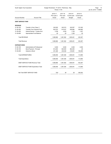| South Ogden City Corporation |                                      | Budget Worksheet - FY 2019 - Preliminary - May<br>Period: 11/18 | Page: 10<br>Jan 04, 2019 11:49AM |                                          |                                   |  |
|------------------------------|--------------------------------------|-----------------------------------------------------------------|----------------------------------|------------------------------------------|-----------------------------------|--|
| <b>Account Number</b>        | <b>Account Title</b>                 | 2016-17<br>Prior year 2<br>Actual                               | 2017-18<br>Prior year<br>Actual  | 2018-19<br>Current year<br><b>Budget</b> | 2018-19<br>Current year<br>Actual |  |
| <b>DEBT SERVICE FUND</b>     |                                      |                                                                 |                                  |                                          |                                   |  |
| <b>REVENUE</b>               |                                      |                                                                 |                                  |                                          |                                   |  |
| 31-30-150                    | Transfer in from Class 'c'           | 242,630                                                         | 242,010                          | 242,507                                  | 101,045                           |  |
| 31-30-300                    | <b>Transfer From General Fund</b>    | 822,570                                                         | 815,037                          | 839,984                                  | 349,995                           |  |
| 31-30-455                    | Interest Earned - Trustee Acct       | 3,768                                                           | 4,535                            | 1,700                                    | 1,257                             |  |
| 31-30-800                    | Appropriated Fund Balance            | .00                                                             | .00                              | 1,300                                    | .00                               |  |
| <b>Total REVENUE:</b>        |                                      | 1,068,968                                                       | 1,061,582                        | 1,085,491                                | 452,297                           |  |
| <b>Total Revenue:</b>        |                                      | 1,068,968                                                       | 1,061,582                        | 1,085,491                                | 452,297                           |  |
| <b>EXPENDITURES</b>          |                                      |                                                                 |                                  |                                          |                                   |  |
| 31-40-100                    | Administrative & Professional        | 6,000                                                           | 6,000                            | 4,500                                    | 4,500                             |  |
| 31-40-150                    | Bond Payment - Principal             | 812,000                                                         | 820,000                          | 862,000                                  | .00                               |  |
| 31-40-200                    | Interest on Bond                     | 251,499                                                         | 235,546                          | 218,991                                  | 109,495                           |  |
|                              | <b>Total EXPENDITURES:</b>           | 1,069,499                                                       | 1,061,546                        | 1,085,491                                | 113,995                           |  |
| <b>Total Expenditure:</b>    |                                      | 1,069,499                                                       | 1,061,546                        | 1,085,491                                | 113,995                           |  |
|                              | DEBT SERVICE FUND Revenue Total:     | 1,068,968                                                       | 1,061,582                        | 1,085,491                                | 452,297                           |  |
|                              | DEBT SERVICE FUND Expenditure Total: | 1,069,499                                                       | 1,061,546                        | 1,085,491                                | 113,995                           |  |
|                              | Net Total DEBT SERVICE FUND:         | 532-                                                            | 36                               | .00                                      | 338,302                           |  |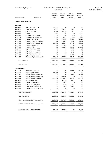| South Ogden City Corporation |                                         | Budget Worksheet - FY 2019 - Preliminary - May<br>Period: 11/18 | Page: 11<br>Jan 04, 2019 11:49AM |                                          |                                   |  |
|------------------------------|-----------------------------------------|-----------------------------------------------------------------|----------------------------------|------------------------------------------|-----------------------------------|--|
| <b>Account Number</b>        | <b>Account Title</b>                    | 2016-17<br>Prior year 2<br>Actual                               | 2017-18<br>Prior year<br>Actual  | 2018-19<br>Current year<br><b>Budget</b> | 2018-19<br>Current year<br>Actual |  |
| <b>CAPITAL IMPROVEMENTS</b>  |                                         |                                                                 |                                  |                                          |                                   |  |
| <b>REVENUE</b>               |                                         |                                                                 |                                  |                                          |                                   |  |
| 40-30-100                    | <b>WACOG/CDBG Grants</b>                | 706,250                                                         | .00                              | .00                                      | .00                               |  |
| 40-30-110                    | <b>Traffic Impact Fees</b>              | 32,225                                                          | 124,551                          | 17,000                                   | 552                               |  |
| 40-30-120                    | Park Impact Fees                        | 16,447                                                          | 120,505                          | 17,000                                   | 768                               |  |
| 40-30-200                    | Interest                                | 4,148                                                           | 609                              | 750                                      | 4,398                             |  |
| 40-30-205                    | Interest Earned - Traffic I/F           | 776                                                             | 331                              | 300                                      | 739                               |  |
| 40-30-210                    | Interest Earned - Park I/Fees           | 1,023                                                           | 1,911                            | 300                                      | 1,925                             |  |
| 40-30-300                    | Transfer In G/F - Prop 1                | .00                                                             | 246,888                          | 254,295                                  | 105,955                           |  |
| 40-30-400                    | Transfer In From General Fund           | .00                                                             | 249,617                          | 97,058                                   | 97,058                            |  |
| 40-30-450                    | Trans From G/F- Class 'C' Rev           | 511,752                                                         | 292,561                          | 331,101                                  | 137,960                           |  |
| 40-30-500                    | Transfer in Util F/F - G/F              | .00.                                                            | 247,323                          | .00                                      | .00                               |  |
| 40-30-600                    | Transfer in RIF                         | .00                                                             | 206,680                          | 508,800                                  | 211,934                           |  |
| 40-30-798                    | Appropriate Parks I/F F/B               | .00                                                             | .00                              | 222,000                                  | .00                               |  |
| 40-30-799                    | Appropriate Traffic I/F F/B             | .00                                                             | .00                              | 85,300                                   | .00                               |  |
| 40-30-800                    | Appropriate Fund Balance                | .00.                                                            | .00                              | 97,170                                   | .00                               |  |
| 40-30-805                    | Appropriate F/B - Class 'c'             | .00.                                                            | .00                              | 361,778                                  | .00                               |  |
| 40-30-950                    | Non-Operating Capital Contrbtn          | 985,918                                                         | 5,086,910                        | 292,172                                  | 292,172                           |  |
| Total REVENUE:               |                                         | 2,258,538                                                       | 6,577,887                        | 2,285,024                                | 853,461                           |  |
| Total Revenue:               |                                         | 2,258,538                                                       | 6,577,887                        | 2,285,024                                | 853,461                           |  |
| <b>EXPENDITURES</b>          |                                         |                                                                 |                                  |                                          |                                   |  |
| 40-40-126                    | Nature Park - Phase III                 | .00                                                             | .00                              | 319,058                                  | 155,227                           |  |
| 40-40-137                    | 2016/17 Road Projects                   | 430,795                                                         | .00                              | .00                                      | .00                               |  |
| 40-40-157                    | 2018-2019 Road/Sidewalk Proj            | .00.                                                            | .00                              | 1,455,974                                | 257,986                           |  |
| 40-40-158                    | 2017-2018 Road/Sidewalk proj.           | .00                                                             | 1,165,786                        | .00                                      | .00                               |  |
| 40-40-349                    | 40th St. Widening - grant \$\$\$        | 2,071,421                                                       | 4,604,252                        | 345,262                                  | 347,617                           |  |
| 40-40-350                    | 40th St. Betterments                    | .00                                                             | 65,662                           | 44,080                                   | 10,440                            |  |
| 40-40-480                    | <b>Transfer to General Fund</b>         | .00                                                             | 75,243                           | .00                                      | .00                               |  |
| 40-40-550                    | Park Impact Fee Projects                | 1,175                                                           | 10,610                           | 17,300                                   | .00                               |  |
| 40-40-700                    | <b>Traffic Impact Fee Projects</b>      | .00                                                             | 3,173                            | 102,600                                  | .00                               |  |
| 40-40-850                    | <b>Transfer to Retained Earnings</b>    | .00                                                             | .00                              | 750                                      | .00                               |  |
|                              | <b>Total EXPENDITURES:</b>              | 2,503,391                                                       | 5,924,726                        | 2,285,024                                | 771,270                           |  |
| <b>Total Expenditure:</b>    |                                         | 2,503,391                                                       | 5,924,726                        | 2,285,024                                | 771,270                           |  |
|                              | CAPITAL IMPROVEMENTS Revenue Total:     | 2,258,538                                                       | 6,577,887                        | 2,285,024                                | 853,461                           |  |
|                              | CAPITAL IMPROVEMENTS Expenditure Total: | 2,503,391                                                       | 5,924,726                        | 2,285,024                                | 771,270                           |  |
|                              | Net Total CAPITAL IMPROVEMENTS:         | 244,852-                                                        | 653,160                          | .00                                      | 82,192                            |  |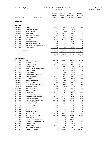| South Ogden City Corporation |                                                              | Budget Worksheet - FY 2019 - Preliminary - May<br>Period: 11/18 | Page:<br>$\overline{12}$<br>Jan 04, 2019 11:49AM |                                          |                                   |  |
|------------------------------|--------------------------------------------------------------|-----------------------------------------------------------------|--------------------------------------------------|------------------------------------------|-----------------------------------|--|
| <b>Account Number</b>        | <b>Account Title</b>                                         | 2016-17<br>Prior year 2<br>Actual                               | 2017-18<br>Prior year<br>Actual                  | 2018-19<br>Current year<br><b>Budget</b> | 2018-19<br>Current year<br>Actual |  |
| <b>WATER FUND</b>            |                                                              |                                                                 |                                                  |                                          |                                   |  |
| <b>REVENUE</b>               |                                                              |                                                                 |                                                  |                                          |                                   |  |
| 51-30-100                    | Interest                                                     | 21,868                                                          | 39,409                                           | 29,375                                   | 19,067                            |  |
| 51-30-105                    | <b>Interest Earned I/Fees</b>                                | 1,153                                                           | 2,072                                            | 1,000                                    | 1,078                             |  |
| 51-30-150                    | <b>Hydrant Rentals</b>                                       | 1,400                                                           | 400-                                             | 400                                      | 100                               |  |
| 51-30-200                    | <b>Water Sales</b>                                           | 1,371,492                                                       | 1,679,771                                        | 1,774,660                                | 815,792                           |  |
| 51-30-210                    | <b>Connection Fees Water</b>                                 | 2,800                                                           | 1,310                                            | 1,500                                    | 175                               |  |
| 51-30-220                    | Water Impact Fees                                            | 11,552                                                          | 5,471                                            | 8,000                                    | 486                               |  |
| 51-30-225                    | Late Fees                                                    | 34,156                                                          | 32,353                                           | 35,000                                   | 12,360                            |  |
| 51-30-700                    | <b>Contract Services</b>                                     | 2,740                                                           | .00                                              | 3,000                                    | .00                               |  |
| 51-30-889                    | Appropriate Water I/F F/B                                    | .00                                                             | .00                                              | 124,000                                  | .00                               |  |
| 51-30-890                    | Appropriation of Fund Balance                                | .00                                                             | .00.                                             | 494,874                                  | .00                               |  |
| 51-30-925                    | Misc. Revenue                                                | 4,700                                                           | 7,142                                            | 79,641                                   | 902                               |  |
| <b>Total REVENUE:</b>        |                                                              | 1,451,862                                                       | 1,767,127                                        | 2,551,450                                | 849,960                           |  |
| <b>Total Revenue:</b>        |                                                              | 1,451,862                                                       | 1,767,127                                        | 2,551,450                                | 849,960                           |  |
| <b>EXPENDITURES</b>          |                                                              |                                                                 |                                                  |                                          |                                   |  |
| 51-40-110                    | Salaries and Wages                                           | 274,021                                                         | 211,104                                          | 210,131                                  | 86,574                            |  |
| 51-40-112                    | Overtime                                                     | 8,141                                                           | 9,937                                            | 12,000                                   | 3,025                             |  |
| 51-40-130                    | <b>Employee Benefits</b>                                     | 80,237                                                          | 126,399                                          | 88,896                                   | 40,140                            |  |
| 51-40-140                    | <b>Franchise Fee</b>                                         | .00                                                             | 71,114                                           | 53,240                                   | 24,474                            |  |
| 51-40-210                    | Books, Subscript. & Membership                               | 688                                                             | 2,450                                            | 3,000                                    | 1,136                             |  |
| 51-40-230                    | Travel & Training                                            | 8,322                                                           | 3,914                                            | 8,000                                    | 245                               |  |
| 51-40-240                    | <b>Office Supplies</b>                                       | 2,399                                                           | 896                                              | 2,500                                    | 520                               |  |
| 51-40-245                    | Clothing/Uniform/Equip. Allow.                               | 2,251                                                           | 3,124                                            | 4,500                                    | 765                               |  |
| 51-40-248                    | Vehicle Maintenance                                          | 11,149                                                          | 7,239                                            | 10,000                                   | 1,714                             |  |
| 51-40-280                    | Telephone                                                    | 4,610                                                           | 3,156                                            | 6,000                                    | 1,147                             |  |
| 51-40-290                    | <b>Building Maintenance</b>                                  | 3,891                                                           | 261                                              | 7,500                                    | .00                               |  |
| 51-40-300                    | Gas, Oil & Tires                                             | 8,594                                                           | 4,747                                            | 10,000                                   | 1,366                             |  |
| 51-40-310                    | Professional & Technical Servi                               | 49,695                                                          | 14,418                                           | 15,000                                   | 1,242                             |  |
| 51-40-311                    | <b>Bad Debts Expense</b>                                     | 9,434                                                           | $3,470-$                                         | .00                                      | .00                               |  |
| 51-40-320                    | <b>Blue Stake Service</b>                                    | 2,364                                                           | 2,032                                            | 2,000                                    | 632                               |  |
| 51-40-329                    | <b>Computer Repairs</b>                                      | .00                                                             | 476                                              | 500                                      | .00                               |  |
| 51-40-330                    | Valve Repair                                                 | 11,755                                                          | 17,114                                           | 25,000                                   | 11,800                            |  |
| 51-40-400                    | <b>PRV Maintenance</b>                                       | 1,681                                                           | 2,328                                            | 20,000                                   | 7,678                             |  |
| 51-40-480                    | <b>Special Department Supplies</b>                           | 30,604                                                          | 37,770                                           | 42,000                                   | 3,545                             |  |
| 51-40-490                    | <b>Water Sample Testing</b>                                  | 4,809                                                           | 7,516                                            | 8,000                                    | 3,162                             |  |
| 51-40-550                    | Weber Basin Exchange Water                                   | 237,480                                                         | 244,339                                          | 261,443                                  | .00                               |  |
| 51-40-560                    | Power and Pumping                                            | 8,206                                                           | 7,266                                            | 10,000                                   | 99                                |  |
| 51-40-610                    | h <sub>2</sub> o Tank Inspection/Maint                       | .00                                                             | 1,800                                            | 10,000                                   | .00                               |  |
| 51-40-649                    | Lease Interest/Taxes                                         | 206                                                             | .00                                              | .00                                      | .00                               |  |
| 51-40-650                    | Lease Payments                                               | 499                                                             | .00                                              | 4,000                                    | .00                               |  |
| 51-40-655                    | 37th St Waterline                                            | 1,081                                                           | .00                                              | .00                                      | .00                               |  |
| 51-40-665                    | Paint the Tanks Repairs                                      | .00                                                             | .00                                              | 20,000                                   | .00                               |  |
| 51-40-667                    | Radio Read Maintenance                                       | 62,661                                                          | 27,605                                           | 37,500                                   | 3,279                             |  |
| 51-40-680                    | Charge for Services - G/F                                    | 133,404                                                         | 138,732                                          | 237,048                                  | 98,785                            |  |
| 51-40-701                    | Scada Upgrade                                                | .00                                                             | .00                                              | 150,000                                  | .00                               |  |
| 51-40-702                    | 45th St - Monroe Blvd to end                                 | .00                                                             | .00                                              | 235,192                                  | .00                               |  |
| 51-40-703                    | Oakwood & Crestwood & culdesac                               | .00                                                             | .00                                              | 727,000                                  | .00                               |  |
| 51-40-749                    | Small Equipment                                              | .00                                                             | .00                                              | 4,000                                    | .00                               |  |
| 51-40-750                    | Capital Outlay                                               | 12,200                                                          | .00                                              | .00                                      | .00                               |  |
| 51-40-770<br>51-40-790       | Water Impact Fee Projects<br><b>Transfer to General Fund</b> | .00<br>.00                                                      | 2,149<br>49,820                                  | 133,000<br>.00                           | 19,706<br>500,000                 |  |
|                              |                                                              |                                                                 |                                                  |                                          |                                   |  |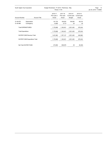| South Ogden City Corporation |                                  | Budget Worksheet - FY 2019 - Preliminary - May<br>Period: 11/18 | Page:<br>- 13<br>Jan 04, 2019 11:49AM |                                   |                                   |  |
|------------------------------|----------------------------------|-----------------------------------------------------------------|---------------------------------------|-----------------------------------|-----------------------------------|--|
| <b>Account Number</b>        | <b>Account Title</b>             | 2016-17<br>Prior year 2<br>Actual                               | 2017-18<br>Prior year<br>Actual       | 2018-19<br>Current year<br>Budget | 2018-19<br>Current year<br>Actual |  |
| 51-40-970<br>51-40-980       | Depreciation<br>Contingency      | 191,722<br>14,864                                               | 156,502<br>9,714                      | 194,000<br>.00                    | 65,210<br>.00                     |  |
|                              | <b>Total EXPENDITURES:</b>       | 1,176,968                                                       | 1,160,451                             | 2,551,450                         | 876,244                           |  |
| <b>Total Expenditure:</b>    |                                  | 1,176,968                                                       | 1,160,451                             | 2,551,450                         | 876,244                           |  |
|                              | <b>WATER FUND Revenue Total:</b> | 1,451,862                                                       | 1,767,127                             | 2,551,450                         | 849,960                           |  |
|                              | WATER FUND Expenditure Total:    | 1,176,968                                                       | 1,160,451                             | 2,551,450                         | 876,244                           |  |
|                              | Net Total WATER FUND:            | 274,894                                                         | 606,676                               | .00                               | 26,284-                           |  |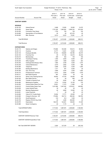| South Ogden City Corporation |                                   | Budget Worksheet - FY 2019 - Preliminary - May<br>Period: 11/18 | Page:<br>14<br>Jan 04, 2019 11:49AM |                                          |                                   |  |
|------------------------------|-----------------------------------|-----------------------------------------------------------------|-------------------------------------|------------------------------------------|-----------------------------------|--|
| <b>Account Number</b>        | <b>Account Title</b>              | 2016-17<br>Prior year 2<br>Actual                               | 2017-18<br>Prior year<br>Actual     | 2018-19<br>Current year<br><b>Budget</b> | 2018-19<br>Current year<br>Actual |  |
| <b>SANITARY SEWER</b>        |                                   |                                                                 |                                     |                                          |                                   |  |
| <b>REVENUE</b>               |                                   |                                                                 |                                     |                                          |                                   |  |
| 52-30-100                    | <b>Interest Earned</b>            | 9,466                                                           | 15,583                              | 18,500                                   | 12,475                            |  |
| 52-30-200                    | <b>Sewer Sales</b>                | 1,701,228                                                       | 1,992,562                           | 2,069,104                                | 874,338                           |  |
| 52-30-250                    | <b>Connection Fees Sewer</b>      | 1,750                                                           | 700                                 | 700                                      | 100                               |  |
| 52-30-890                    | Appropriation of Fund Balance     | .00                                                             | .00                                 | 227,275                                  | .00                               |  |
| 52-30-925                    | Misc. Revenue                     | 8,014                                                           | 6,203                               | 70,081                                   | .00                               |  |
|                              |                                   |                                                                 |                                     |                                          |                                   |  |
| Total REVENUE:               |                                   | 1,720,457                                                       | 2,015,048                           | 2,385,660                                | 886,913                           |  |
| Total Revenue:               |                                   | 1,720,457                                                       | 2,015,048                           | 2,385,660                                | 886,913                           |  |
| <b>EXPENDITURES</b>          |                                   |                                                                 |                                     |                                          |                                   |  |
| 52-40-110                    | Salaries and Wages                | 178,666                                                         | 183,468                             | 193,613                                  | 80,963                            |  |
| 52-40-112                    | Overtime                          | 12,777                                                          | 13,461                              | 12,500                                   | 2,743                             |  |
| 52-40-130                    | <b>Employee Benefits</b>          | 77,163                                                          | 108,669                             | 139,786                                  | 64,075                            |  |
| 52-40-140                    | Franchise Fee                     | .00                                                             | 91,169                              | 62,073                                   | 26,230                            |  |
| 52-40-210                    | Memberships                       | 289                                                             | 562                                 | 700                                      | 180                               |  |
| 52-40-230                    | Travelinlg & Training             | 1,094                                                           | 2,629                               | 5,000                                    | 297                               |  |
| 52-40-240                    | <b>Office Supplies</b>            | 3,067                                                           | 1,669                               | 5,600                                    | 263                               |  |
| 52-40-245                    | Clothing/Uniform/Equip. Allow.    | 1,665                                                           | 3,448                               | 4,000                                    | 1,074                             |  |
| 52-40-248                    | Vehicle Maintenance               | 2,619                                                           | 2,882                               | 5,000                                    | 366                               |  |
| 52-40-280                    | Telephone                         | 4,898                                                           | 3,262                               | 4,000                                    | 1,085                             |  |
| 52-40-290                    | <b>Building Maintenance</b>       | 1,311                                                           | 491                                 | 5,000                                    | .00                               |  |
| 52-40-300                    | Gas, Oil & Tires                  | 3,899                                                           | 3,544                               | 3,500                                    | 1,655                             |  |
| 52-40-310                    | Professional & Technical          | 8,474                                                           | 3,845                               | 12,500                                   | 1,679                             |  |
| 52-40-311                    | <b>Bad Debts Expense</b>          | 987                                                             | $3,249-$                            | .00                                      | .00                               |  |
| 52-40-315                    | Sewer Lines Cleaning Service      | 49,602                                                          | 47,378                              | 50,000                                   | 400                               |  |
| 52-40-320                    | <b>Blue Stake Service</b>         | .00                                                             | .00                                 | 800                                      | .00                               |  |
| 52-40-400                    | <b>Transfer to General Fund</b>   | .00                                                             | 9,540                               | .00                                      | 400,000                           |  |
| 52-40-480                    | Maintenance Supplies              | 5,514                                                           | 12,002                              | 15,100                                   | 379                               |  |
| 52-40-550                    | Central Weber Sewer Pre-Trea      | 10,651                                                          | 11,373                              | 11,983                                   | .00                               |  |
| 52-40-610                    | <b>Central Weber Sewer Fees</b>   | 1,031,998                                                       | 1,047,240                           | 1,079,201                                | 440,850                           |  |
| 52-40-649                    | Lease Interest/Taxes              | 39                                                              | .00                                 | .00                                      | .00                               |  |
| 52-40-650                    | Manhole Replacement               | .00                                                             | 9,890                               | 15,000                                   | .00                               |  |
| 52-40-651                    | Lease Payments                    | 1                                                               | .00                                 | .00                                      | .00                               |  |
| 52-40-665                    | Video & Fix Trouble Spots         | 18,594                                                          | 17,771                              | 25,000                                   | .00                               |  |
| 52-40-680                    | Charge for Services - G/F         | 175,692                                                         | 182,712                             | 256,304                                  | 106,795                           |  |
| 52-40-700                    | Small Equipment                   | 316                                                             | 812                                 | 1,000                                    | .00                               |  |
| 52-40-705                    | Replace 700 E/H Guy Child         | .00                                                             | 3,465                               | 350,000                                  | .00                               |  |
| 52-40-970                    | Depreciation                      | 128,316                                                         | 122,461                             | 128,000                                  | 51,025                            |  |
| 52-40-980                    | Sewer Contingency                 | .00                                                             | 7,175                               | .00                                      | .00                               |  |
|                              | Total EXPENDITURES:               | 1,717,633                                                       | 1,887,670                           | 2,385,660                                | 1,180,058                         |  |
| <b>Total Expenditure:</b>    |                                   | 1,717,633                                                       | 1,887,670                           | 2,385,660                                | 1,180,058                         |  |
|                              | SANITARY SEWER Revenue Total:     | 1,720,457                                                       | 2,015,048                           | 2,385,660                                | 886,913                           |  |
|                              | SANITARY SEWER Expenditure Total: | 1,717,633                                                       | 1,887,670                           | 2,385,660                                | 1,180,058                         |  |
|                              | Net Total SANITARY SEWER:         | 2,824                                                           | 127,378                             | .00                                      | 293,145-                          |  |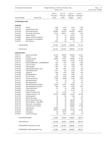| South Ogden City Corporation<br>Budget Worksheet - FY 2019 - Preliminary - May<br>Period: 11/18 |                                     |                                   |                                 |                                   |                                   | Page:<br>- 15<br>Jan 04, 2019 11:49AM |
|-------------------------------------------------------------------------------------------------|-------------------------------------|-----------------------------------|---------------------------------|-----------------------------------|-----------------------------------|---------------------------------------|
| <b>Account Number</b>                                                                           | <b>Account Title</b>                | 2016-17<br>Prior year 2<br>Actual | 2017-18<br>Prior year<br>Actual | 2018-19<br>Current year<br>Budget | 2018-19<br>Current year<br>Actual |                                       |
| <b>STORM DRAIN FUND</b>                                                                         |                                     |                                   |                                 |                                   |                                   |                                       |
| <b>REVENUE</b>                                                                                  |                                     |                                   |                                 |                                   |                                   |                                       |
| 53-30-100                                                                                       | Interest                            | 4,396                             | 9,240                           | 5,000                             | 7,593                             |                                       |
| 53-30-105                                                                                       | <b>Interest Earned I/Fees</b>       | 1,059                             | 2,299                           | 1,500                             | 3,535                             |                                       |
| 53-30-200                                                                                       | Storm Drain Revenue                 | 555,564                           | 981,675                         | 1,091,584                         | 458,531                           |                                       |
| 53-30-220                                                                                       | Storm Drain Impact Fees             | 37,279                            | 298,317                         | 17,000                            | 1,500                             |                                       |
| 53-30-870                                                                                       | Lease Financing                     | .00                               | .00                             | 72,715                            | .00                               |                                       |
| 53-30-885                                                                                       | Approp. of I/Fee Fund Balance       | .00                               | .00                             | 432,000                           | .00                               |                                       |
| 53-30-890                                                                                       | Appropriation of Fund Balance       | .00                               | .00                             | 369,786                           | .00                               |                                       |
| 53-30-925                                                                                       | Misc. Revenue                       | 3,625                             | 156                             | .00                               | .00                               |                                       |
| <b>Total REVENUE:</b>                                                                           |                                     | 601,924                           | 1,291,687                       | 1,989,585                         | 471,159                           |                                       |
| Total Revenue:                                                                                  |                                     | 601,924                           | 1,291,687                       | 1,989,585                         | 471,159                           |                                       |
| <b>EXPENDITURES</b>                                                                             |                                     |                                   |                                 |                                   |                                   |                                       |
| 53-40-110                                                                                       | Salaries and Wages                  | 144,153                           | 166,976                         | 225,620                           | 81,631                            |                                       |
| 53-40-112                                                                                       | Overtime                            | 4,884                             | 2,667                           | 11,000                            | 1,702                             |                                       |
| 53-40-130                                                                                       | <b>Employee Benefits</b>            | 86,884                            | 97,401                          | 148,059                           | 55,149                            |                                       |
| 53-40-140                                                                                       | <b>Franchise Fee</b>                | .00                               | 47,244                          | 32,748                            | 13,756                            |                                       |
| 53-40-210                                                                                       | BOOKS, SUBSCRIPT. & MEMBERSHIP      | 1,320                             | 1,645                           | 4,000                             | 1,930                             |                                       |
| 53-40-230                                                                                       | Travel & Training                   | 1,790                             | 1,119                           | 5,500                             | 3,607                             |                                       |
| 53-40-240                                                                                       | <b>Office Supplies</b>              | 1,967                             | 567                             | 1,500                             | .00                               |                                       |
| 53-40-245                                                                                       | Clothing/Uniform/Equip. Allow.      | 857                               | 2,297                           | 4,700                             | 392                               |                                       |
| 53-40-248                                                                                       | Vehicle Maintenance                 | 5,743                             | 870                             | 6,000                             | 225                               |                                       |
| 53-40-280                                                                                       | Telephone                           | 1,266                             | 1,187                           | 2,500                             | 840                               |                                       |
| 53-40-290                                                                                       | <b>Building Maintence</b>           | 319                               | 2,324                           | 5,000                             | 28                                |                                       |
| 53-40-300                                                                                       | Gas, Oil & Tires                    | 4,795                             | 4,240                           | 6,500                             | 1,319                             |                                       |
| 53-40-310                                                                                       | Prof & Tech Services                | 11,308                            | 23,586                          | 21,650                            | 2,200                             |                                       |
| 53-40-311                                                                                       | <b>Bad Debts Expense</b>            | 511                               | 28                              | .00                               | .00                               |                                       |
| 53-40-320                                                                                       | <b>Blue Stake Serivce</b>           | .00                               | .00                             | 700                               | .00                               |                                       |
| 53-40-400                                                                                       | System Maintenance Program          | 39,634                            | 37,675                          | 40,000                            | .00                               |                                       |
| 53-40-480                                                                                       | <b>Special Department Supplies</b>  | 1,820                             | 3,387                           | 6,000                             | 1,627                             |                                       |
| 53-40-649                                                                                       | Lease Interest/Taxes                | 197                               | .00                             | 2,058                             | .00                               |                                       |
| 53-40-650                                                                                       | Lease Payments                      | 14                                | .00                             | 13,743                            | .00                               |                                       |
| 53-40-670                                                                                       | Transfer to General Fund            | .00                               | 13,780                          | .00                               | .00                               |                                       |
| 53-40-680                                                                                       | Charge for Services - G/F           | 136,788                           | 142,260                         | 144,397                           | 60,165                            |                                       |
| 53-40-700                                                                                       | Small Equipment                     | .00                               | 140                             | 1,500                             | .00                               |                                       |
| 53-40-705                                                                                       | 4400 S Storm Drain                  | .00                               | .00                             | .00                               | 1,173                             |                                       |
| 53-40-706                                                                                       | 45th St - Monroe Blvd to end        | .00                               | .00                             | 166,200                           | .00                               |                                       |
| 53-40-707                                                                                       | 4500 S Madison - Vista (2020)       | .00                               | .00                             | 150,000                           | .00                               |                                       |
| 53-40-708                                                                                       | Pipe Creek - Young Mazda            | .00                               | .00                             | 300,000                           | 6,524                             |                                       |
| 53-40-710                                                                                       | 40th Storm Drain - Phase II         | .00                               | .00                             | 494,995                           | 13,128                            |                                       |
| 53-40-750                                                                                       | Capital Outlay                      | 26,800                            | .00                             | 72,715                            | .00                               |                                       |
| 53-40-970                                                                                       | Depreciation                        | 103,207                           | 56,062                          | 104,000                           | 23,375                            |                                       |
| 53-40-980                                                                                       | Contingency                         | .00                               | 24,157                          | .00                               | .00                               |                                       |
| 53-40-981                                                                                       | Impact Fee Projects                 | .00                               | 4,207                           | 18,500                            | .00                               |                                       |
|                                                                                                 | Total EXPENDITURES:                 | 574,258                           | 633,818                         | 1,989,585                         | 268,772                           |                                       |
| <b>Total Expenditure:</b>                                                                       |                                     | 574,258                           | 633,818                         | 1,989,585                         | 268,772                           |                                       |
|                                                                                                 | STORM DRAIN FUND Revenue Total:     | 601,924                           | 1,291,687                       | 1,989,585                         | 471,159                           |                                       |
|                                                                                                 | STORM DRAIN FUND Expenditure Total: | 574,258                           | 633,818                         | 1,989,585                         | 268,772                           |                                       |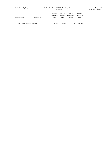| South Ogden City Corporation |                      | Budget Worksheet - FY 2019 - Preliminary - May<br>Period: 11/18      |                                   |                                   |         |  |  |
|------------------------------|----------------------|----------------------------------------------------------------------|-----------------------------------|-----------------------------------|---------|--|--|
| <b>Account Number</b>        | <b>Account Title</b> | 2016-17<br>2017-18<br>Prior year 2<br>Prior year<br>Actual<br>Actual | 2018-19<br>Current year<br>Budget | 2018-19<br>Current year<br>Actual |         |  |  |
| Net Total STORM DRAIN FUND:  |                      | 27,666                                                               | 657,869                           | .00                               | 202,387 |  |  |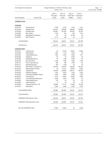| South Ogden City Corporation |                                        | Budget Worksheet - FY 2019 - Preliminary - May<br>Period: 11/18 | Page:<br>$-17$<br>Jan 04, 2019 11:49AM |                                          |                                   |  |
|------------------------------|----------------------------------------|-----------------------------------------------------------------|----------------------------------------|------------------------------------------|-----------------------------------|--|
| <b>Account Number</b>        | <b>Account Title</b>                   | 2016-17<br>Prior year 2<br>Actual                               | 2017-18<br>Prior year<br>Actual        | 2018-19<br>Current year<br><b>Budget</b> | 2018-19<br>Current year<br>Actual |  |
| <b>GARBAGE FUND</b>          |                                        |                                                                 |                                        |                                          |                                   |  |
| <b>REVENUE</b>               |                                        |                                                                 |                                        |                                          |                                   |  |
| 54-30-100                    | <b>Interest Earned</b>                 | 3,380                                                           | 6,782                                  | 3,500                                    | 3,281                             |  |
| 54-30-200                    | Garbage Fees                           | 632,431                                                         | 638,496                                | 636,480                                  | 276,088                           |  |
| 54-30-205                    | <b>Recycling Fees</b>                  | 200,887                                                         | 201,945                                | 205,555                                  | 86,750                            |  |
| 54-30-850                    | Misc. Rental                           | 1,635                                                           | 920                                    | 500                                      | 1,670                             |  |
| 54-30-890                    | Appropriate Fund Balance               | .00                                                             | .00                                    | 33,196                                   | .00                               |  |
| 54-30-925                    | Misc. Revenue                          | 2,113                                                           | 358                                    | .00                                      | .00                               |  |
| <b>Total REVENUE:</b>        |                                        | 840,445                                                         | 848,501                                | 879,231                                  | 367,788                           |  |
| Total Revenue:               |                                        | 840,445                                                         | 848,501                                | 879,231                                  | 367,788                           |  |
| <b>EXPENDITURES</b>          |                                        |                                                                 |                                        |                                          |                                   |  |
| 54-40-140                    | Franchise Fee                          | .00                                                             | 37,796                                 | 25,261                                   | 10,885                            |  |
| 54-40-240                    | <b>Office Spplies</b>                  | 1,997                                                           | 1,314                                  | 3,500                                    | .00                               |  |
| 54-40-248                    | Vehicle Maintenance                    | 1,363                                                           | 2,200                                  | 3,000                                    | 1,971                             |  |
| 54-40-280                    | Telephone                              | .00                                                             | 44                                     | 2,300                                    | .00                               |  |
| 54-40-290                    | <b>Building Maintenance</b>            | .00.                                                            | 1,480                                  | 5,000                                    | .00                               |  |
| 54-40-300                    | Gas, Oil & Tires                       | 2,168                                                           | 1,395                                  | 3,000                                    | 2,325                             |  |
| 54-40-310                    | Prof & Teach Services                  | 268                                                             | 238                                    | 1,000                                    | .00                               |  |
| 54-40-311                    | <b>Bad Debts Expense</b>               | 940-                                                            | 1,383-                                 | .00                                      | .00                               |  |
| 54-40-420                    | Allied Waste - Contract Srvc.          | 429,106                                                         | 432,735                                | 444,000                                  | 185,342                           |  |
| 54-40-425                    | Recycled Earth Contract                | .00                                                             | 21,511                                 | 28,054                                   | 8,264                             |  |
| 54-40-430                    | <b>Tipping Fees</b>                    | 185,440                                                         | 222,566                                | 203,717                                  | 108,730                           |  |
| 54-40-440                    | <b>Additional Cleanups</b>             | 7,403                                                           | 6,025                                  | 7,400                                    | 3,062                             |  |
| 54-40-450                    | <b>Construction Materials Tipping</b>  | 2,830                                                           | 5,628                                  | 6,000                                    | 1,634                             |  |
| 54-40-520                    | <b>Tree Removal</b>                    | 9,170                                                           | 10,975                                 | 15,000                                   | 2,660                             |  |
| 54-40-615                    | Junk Ordinance Enforcement             | 9,629                                                           | 2,583                                  | 7,500                                    | .00                               |  |
| 54-40-649                    | Lease Interest/Taxes                   | 120                                                             | .00                                    | .00                                      | .00                               |  |
| 54-40-650                    | Lease Payments                         | 6-                                                              | .00                                    | .00                                      | .00                               |  |
| 54-40-680                    | Charge for Services - G/F              | 108,828                                                         | 113,172                                | 117,999                                  | 49,165                            |  |
| 54-40-970                    | Depreciation                           | 5,585                                                           | 5,585                                  | 6,500                                    | 2,335                             |  |
|                              | <b>Total EXPENDITURES:</b>             | 762,960                                                         | 863,864                                | 879,231                                  | 376,373                           |  |
| <b>Total Expenditure:</b>    |                                        | 762,960                                                         | 863,864                                | 879,231                                  | 376,373                           |  |
|                              | <b>GARBAGE FUND Revenue Total:</b>     | 840,445                                                         | 848,501                                | 879,231                                  | 367,788                           |  |
|                              | <b>GARBAGE FUND Expenditure Total:</b> | 762,960                                                         | 863,864                                | 879,231                                  | 376,373                           |  |
|                              | Net Total GARBAGE FUND:                | 77,485                                                          | 15,363-                                | .00                                      | 8,584-                            |  |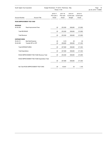| South Ogden City Corporation |                                                | Budget Worksheet - FY 2019 - Preliminary - May<br>Period: 11/18 |                                 | Page: 18<br>Jan 04, 2019 11:49AM         |                                   |  |
|------------------------------|------------------------------------------------|-----------------------------------------------------------------|---------------------------------|------------------------------------------|-----------------------------------|--|
| <b>Account Number</b>        | <b>Account Title</b>                           | 2016-17<br>Prior year 2<br>Actual                               | 2017-18<br>Prior year<br>Actual | 2018-19<br>Current year<br><b>Budget</b> | 2018-19<br>Current year<br>Actual |  |
|                              | ROAD IMPROVEMENT FEE FUND                      |                                                                 |                                 |                                          |                                   |  |
| <b>REVENUE</b><br>55-30-200  | Road Improvement Fees                          | .00                                                             | 253,360                         | 508,800                                  | 213,090                           |  |
| <b>Total REVENUE:</b>        |                                                | .00                                                             | 253,360                         | 508,800                                  | 213,090                           |  |
| <b>Total Revenue:</b>        |                                                | .00                                                             | 253,360                         | 508,800                                  | 213,090                           |  |
| <b>EXPENDITURES</b>          |                                                |                                                                 |                                 |                                          |                                   |  |
| 55-40-311<br>55-40-550       | <b>Bad Debt Expense</b><br>Transfer RIF to CPF | .00<br>.00                                                      | 1,219<br>206,680                | .00<br>508,800                           | .00<br>211,934                    |  |
|                              | <b>Total EXPENDITURES:</b>                     | .00                                                             | 207,899                         | 508,800                                  | 211,934                           |  |
| <b>Total Expenditure:</b>    |                                                | .00                                                             | 207,899                         | 508,800                                  | 211,934                           |  |
|                              | ROAD IMPROVEMENT FEE FUND Revenue Total:       | .00                                                             | 253,360                         | 508,800                                  | 213,090                           |  |
|                              | ROAD IMPROVEMENT FEE FUND Expenditure Total:   | .00                                                             | 207,899                         | 508,800                                  | 211,934                           |  |
|                              | Net Total ROAD IMPROVEMENT FEE FUND:           | .00                                                             | 45,461                          | .00                                      | 1,155                             |  |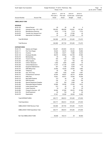| South Ogden City Corporation |                                    | Budget Worksheet - FY 2019 - Preliminary - May<br>Period: 11/18 | Page:<br>19<br>Jan 04, 2019 11:49AM |                                          |                                   |  |
|------------------------------|------------------------------------|-----------------------------------------------------------------|-------------------------------------|------------------------------------------|-----------------------------------|--|
| <b>Account Number</b>        | <b>Account Title</b>               | 2016-17<br>Prior year 2<br>Actual                               | 2017-18<br>Prior year<br>Actual     | 2018-19<br>Current year<br><b>Budget</b> | 2018-19<br>Current year<br>Actual |  |
| <b>AMBULANCE FUND</b>        |                                    |                                                                 |                                     |                                          |                                   |  |
| <b>REVENUE</b>               |                                    |                                                                 |                                     |                                          |                                   |  |
| 58-30-100                    | <b>Interest Earned</b>             | .00                                                             | .00.                                | .00                                      | 6                                 |  |
| 58-30-201                    | Ambulance Fees - S/O - DPS         | 536,453                                                         | 486,599                             | 518,091                                  | 167,254                           |  |
| 58-30-210                    | Miscellaneous Revenue              | 3,616                                                           | 11,194                              | 7,214                                    | 7,214                             |  |
| 58-30-870                    | <b>Transfer from General Fund</b>  | .00                                                             | .00.                                | 27,005                                   | .00                               |  |
| 58-30-890                    | Appropriate Fund Balance           | .00                                                             | .00                                 | 121,890                                  | .00                               |  |
| Total REVENUE:               |                                    | 540,069                                                         | 497,793                             | 674,200                                  | 174,475                           |  |
| Total Revenue:               |                                    | 540,069                                                         | 497,793                             | 674,200                                  | 174,475                           |  |
| <b>EXPENDITURES</b>          |                                    |                                                                 |                                     |                                          |                                   |  |
| 58-40-110                    | Salaries and Wages                 | 183,267                                                         | 203,653                             | 218,143                                  | 88,515                            |  |
| 58-40-111                    | Part Time Wages                    | 39,523                                                          | 48,474                              | 40,263                                   | 16,892                            |  |
| 58-40-112                    | Overtime                           | 31,956                                                          | 30,471                              | 17,686                                   | 19,223                            |  |
| 58-40-130                    | <b>Employee Benefits</b>           | 89,818                                                          | 90,863                              | 103,709                                  | 47,660                            |  |
| 58-40-210                    | Memberships                        | .00                                                             | 40                                  | 520                                      | 40                                |  |
| 58-40-230                    | Travel & Training                  | 944                                                             | 1,702                               | 1,500                                    | 119                               |  |
| 58-40-240                    | <b>Office Supplies</b>             | 672                                                             | 237                                 | 750                                      | 180                               |  |
| 58-40-245                    | Uniform Allowance                  | 4,482                                                           | 3,850                               | 3,850                                    | .00                               |  |
| 58-40-248                    | Vehicle Maintenance                | 11,757                                                          | 21,190                              | 9,000                                    | 2,613                             |  |
| 58-40-250                    | <b>Equipment Maintenance</b>       | 927                                                             | 1,169                               | 6,500                                    | .00                               |  |
| 58-40-270                    | <b>EMS Billing Fees</b>            | 23,082                                                          | 19,320                              | 23,000                                   | 3,892                             |  |
| 58-40-280                    | Telephone                          | .00                                                             | 109                                 | .00                                      | 202                               |  |
| 58-40-300                    | Gas, Oil & Tires                   | 4,887                                                           | 7,635                               | 6,500                                    | 4,481                             |  |
| 58-40-310                    | Professional & Technical           | 42,544                                                          | 48,557                              | 48,214                                   | 28,926                            |  |
| 58-40-312                    | <b>PMA Fees</b>                    | 74,821                                                          | 60,071                              | 70,000                                   | 15,294                            |  |
| 58-40-315                    | <b>Bad Debts Expense</b>           | $127 -$                                                         | .00.                                | .00                                      | .00                               |  |
| 58-40-330                    | <b>EMS Education</b>               | 740                                                             | 74                                  | 1,000                                    | 790                               |  |
| 58-40-480                    | <b>Special Department Supplies</b> | 270                                                             | 535                                 | 3,095                                    | 60                                |  |
| 58-40-490                    | Disposable Medical Supplies        | 22,866                                                          | 25,536                              | 27,000                                   | 6,912                             |  |
| 58-40-649                    | Lease Interest/Taxes               | 913                                                             | .00                                 | .00                                      | .00                               |  |
| 58-40-650                    | Lease Payments                     | 19-                                                             | .00                                 | .00                                      | .00                               |  |
| 58-40-680                    | Charge for Services - G/F          | 64,992                                                          | 67,584                              | 65,470                                   | 27,280                            |  |
| 58-40-700                    | Small Equipment                    | .00                                                             | 749                                 | .00                                      | .00                               |  |
| 58-40-970                    | Depreciation                       | 27,401                                                          | 25,095                              | 28,000                                   | 10,460                            |  |
|                              | Total EXPENDITURES:                | 625,717                                                         | 656,914                             | 674,200                                  | 273,539                           |  |
| <b>Total Expenditure:</b>    |                                    | 625,717                                                         | 656,914                             | 674,200                                  | 273,539                           |  |
|                              | AMBULANCE FUND Revenue Total:      | 540,069                                                         | 497,793                             | 674,200                                  | 174,475                           |  |
|                              | AMBULANCE FUND Expenditure Total:  | 625,717                                                         | 656,914                             | 674,200                                  | 273,539                           |  |
|                              | Net Total AMBULANCE FUND:          | 85,648-                                                         | 159,121-                            | .00                                      | 99,064-                           |  |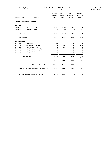| South Ogden City Corporation |                                                   |                                   | Budget Worksheet - FY 2019 - Preliminary - May<br>Period: 11/18 |                                          |                                   |  |  |
|------------------------------|---------------------------------------------------|-----------------------------------|-----------------------------------------------------------------|------------------------------------------|-----------------------------------|--|--|
| <b>Account Number</b>        | <b>Account Title</b>                              | 2016-17<br>Prior year 2<br>Actual | 2017-18<br>Prior year<br>Actual                                 | 2018-19<br>Current year<br><b>Budget</b> | 2018-19<br>Current year<br>Actual |  |  |
|                              | <b>Community Developmnt &amp; Renewal</b>         |                                   |                                                                 |                                          |                                   |  |  |
| <b>REVENUE</b>               |                                                   |                                   |                                                                 |                                          |                                   |  |  |
| 61-30-110                    | Tax Inc. - 36th Street                            | 112,316                           | 95,450                                                          | 112,000                                  | 7,577                             |  |  |
| 61-30-170                    | Interest - 36th Street                            | 84                                | 104                                                             | .00                                      | .00                               |  |  |
| Total REVENUE:               |                                                   | 112,400                           | 95,554                                                          | 112,000                                  | 7,577                             |  |  |
| <b>Total Revenue:</b>        |                                                   | 112,400                           | 95,554                                                          | 112,000                                  | 7,577                             |  |  |
| <b>EXPENDITURES</b>          |                                                   |                                   |                                                                 |                                          |                                   |  |  |
| 61-40-400                    | Professional                                      | .00                               | .00                                                             | 7,650                                    | 285                               |  |  |
| 61-40-710                    | Charge for Services - G/F                         | 5,616                             | 4,675                                                           | 4,350                                    | 1,815                             |  |  |
| 61-40-820                    | Loan Interest Expense                             | 8,422                             | 6,435                                                           | .00                                      | .00                               |  |  |
| 61-40-840                    | Loan Payment to General Fund                      | .00                               | .00                                                             | 40,000                                   | .00                               |  |  |
| 61-40-841                    | Loan Payment to Water Fund                        | .00                               | .00                                                             | 30,000                                   | .00                               |  |  |
| 61-40-842                    | Loan Payment to Sewer Fund                        | .00                               | .00                                                             | 30,000                                   | .00                               |  |  |
|                              | <b>Total EXPENDITURES:</b>                        | 14,038                            | 11,110                                                          | 112,000                                  | 2,100                             |  |  |
| <b>Total Expenditure:</b>    |                                                   | 14,038                            | 11,110                                                          | 112,000                                  | 2,100                             |  |  |
|                              | Community Developmnt & Renewal Revenue Total:     | 112,400                           | 95,554                                                          | 112,000                                  | 7,577                             |  |  |
|                              | Community Developmnt & Renewal Expenditure Total: | 14,038                            | 11,110                                                          | 112,000                                  | 2,100                             |  |  |
|                              | Net Total Community Developmnt & Renewal:         | 98,362                            | 84,444                                                          | .00                                      | 5,477                             |  |  |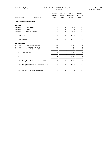| South Ogden City Corporation |                                                   | Budget Worksheet - FY 2019 - Preliminary - May<br>Period: 11/18 | Page: 21<br>Jan 04, 2019 11:49AM |                                          |                                   |  |
|------------------------------|---------------------------------------------------|-----------------------------------------------------------------|----------------------------------|------------------------------------------|-----------------------------------|--|
| <b>Account Number</b>        | <b>Account Title</b>                              | 2016-17<br>Prior year 2<br>Actual                               | 2017-18<br>Prior year<br>Actual  | 2018-19<br>Current year<br><b>Budget</b> | 2018-19<br>Current year<br>Actual |  |
|                              | <b>CRA - Young Mazda Project Area</b>             |                                                                 |                                  |                                          |                                   |  |
| <b>REVENUE</b>               |                                                   |                                                                 |                                  |                                          |                                   |  |
| 66-30-100                    | Tax Increment                                     | .00                                                             | .00                              | 5,000                                    | .00                               |  |
| 66-30-101                    | Interest                                          | .00                                                             | .00                              | 100                                      | .00                               |  |
| 66-30-125                    | Sales Tax Revenue                                 | .00                                                             | .00                              | 1,000                                    | .00                               |  |
| <b>Total REVENUE:</b>        |                                                   | .00                                                             | .00                              | 6,100                                    | .00                               |  |
| <b>Total Revenue:</b>        |                                                   | .00                                                             | .00                              | 6,100                                    | .00                               |  |
| <b>EXPENDITURES</b>          |                                                   |                                                                 |                                  |                                          |                                   |  |
| 66-40-100                    | Professional & Technical                          | .00.                                                            | .00                              | 5,000                                    | .00                               |  |
| 66-40-550                    | Tax Increment Incentives                          | .00                                                             | .00                              | 1,000                                    | .00                               |  |
| 66-40-600                    | Charge for Services - G/F                         | .00.                                                            | .00                              | 100                                      | .00                               |  |
|                              | <b>Total EXPENDITURES:</b>                        | .00                                                             | .00                              | 6,100                                    | .00                               |  |
| <b>Total Expenditure:</b>    |                                                   | .00.                                                            | .00                              | 6,100                                    | .00                               |  |
|                              | CRA - Young Mazda Project Area Revenue Total:     | .00.                                                            | .00                              | 6,100                                    | .00                               |  |
|                              | CRA - Young Mazda Project Area Expenditure Total: | .00.                                                            | .00                              | 6,100                                    | .00                               |  |
|                              | Net Total CRA - Young Mazda Project Area:         | .00                                                             | .00                              | .00                                      | .00                               |  |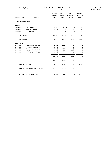| South Ogden City Corporation  |                                           | Budget Worksheet - FY 2019 - Preliminary - May<br>Period: 11/18 | Page: 22<br>Jan 04, 2019 11:49AM |                                          |                                   |  |
|-------------------------------|-------------------------------------------|-----------------------------------------------------------------|----------------------------------|------------------------------------------|-----------------------------------|--|
| <b>Account Number</b>         | <b>Account Title</b>                      | 2016-17<br>Prior year 2<br>Actual                               | 2017-18<br>Prior year<br>Actual  | 2018-19<br>Current year<br><b>Budget</b> | 2018-19<br>Current year<br>Actual |  |
| <b>CDRA - NW Project Area</b> |                                           |                                                                 |                                  |                                          |                                   |  |
| Revenue                       |                                           |                                                                 |                                  |                                          |                                   |  |
| 67-30-100                     | Tax Increment                             | 318,326                                                         | $1,010-$                         | .00                                      | .00                               |  |
| 67-30-200                     | Sales Tax Revenue                         | 112,789                                                         | 110,728                          | 117,721                                  | 25,285                            |  |
| 67-30-300                     | Interest Income                           | 260                                                             | .00                              | .00                                      | .00                               |  |
| Total Revenue:                |                                           | 431,376                                                         | 109,718                          | 117,721                                  | 25,285                            |  |
| Total Revenue:                |                                           | 431,376                                                         | 109,718                          | 117,721                                  | 25,285                            |  |
| <b>Expenditures</b>           |                                           |                                                                 |                                  |                                          |                                   |  |
| 67-40-400                     | Professional & Technical                  | 23,222                                                          | 20,244                           | .00                                      | 750                               |  |
| 67-40-450                     | Payment to Costco/Kimco                   | 47,000                                                          | .00                              | .00                                      | .00                               |  |
| 67-40-475                     | Tax Increment Incentives                  | 62,500                                                          | 500,000                          | .00                                      | .00                               |  |
| 67-40-480                     | Sales Tax Incentives                      | 112,789                                                         | 110,728                          | 117,721                                  | .00                               |  |
| 67-40-500                     | Charge for Services - G/F                 | 15,916                                                          | .00                              | .00                                      | .00                               |  |
| <b>Total Expenditures:</b>    |                                           | 261,428                                                         | 630,972                          | 117,721                                  | 750                               |  |
| <b>Total Expenditure:</b>     |                                           | 261,428                                                         | 630,972                          | 117,721                                  | 750                               |  |
|                               | CDRA - NW Project Area Revenue Total:     | 431,376                                                         | 109,718                          | 117,721                                  | 25,285                            |  |
|                               | CDRA - NW Project Area Expenditure Total: | 261,428                                                         | 630,972                          | 117,721                                  | 750                               |  |
|                               | Net Total CDRA - NW Project Area:         | 169,948                                                         | 521,254-                         | .00                                      | 24,535                            |  |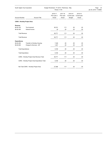| South Ogden City Corporation                    |                                         | Budget Worksheet - FY 2019 - Preliminary - May<br>Period: 11/18 | Page: 23<br>Jan 04, 2019 11:49AM |                                          |                                   |  |
|-------------------------------------------------|-----------------------------------------|-----------------------------------------------------------------|----------------------------------|------------------------------------------|-----------------------------------|--|
| <b>Account Number</b>                           | <b>Account Title</b>                    | 2016-17<br>Prior year 2<br>Actual                               | 2017-18<br>Prior year<br>Actual  | 2018-19<br>Current year<br><b>Budget</b> | 2018-19<br>Current year<br>Actual |  |
| <b>CDRA - Hinckley Project Area</b>             |                                         |                                                                 |                                  |                                          |                                   |  |
| Revenue                                         |                                         |                                                                 |                                  |                                          |                                   |  |
| 68-30-100                                       | Tax Increment                           | 36,741                                                          | $117 -$                          | .00                                      | .00                               |  |
| 68-30-300                                       | Interest Income                         | 30                                                              | .00.                             | .00                                      | .00                               |  |
| Total Revenue:                                  |                                         | 36,771                                                          | $117 -$                          | .00                                      | .00                               |  |
| <b>Total Revenue:</b>                           |                                         | 36,771                                                          | $117 -$                          | .00                                      | .00                               |  |
| <b>Expenditures</b>                             |                                         |                                                                 |                                  |                                          |                                   |  |
| 68-40-450                                       | Transfer to Hinckley Housing            | 7,348                                                           | .00                              | .00                                      | .00                               |  |
| 68-40-500                                       | Charge for Services - G/F               | 1,837                                                           | .00                              | .00                                      | .00                               |  |
| <b>Total Expenditures:</b>                      |                                         | 9,185                                                           | .00                              | .00                                      | .00.                              |  |
| <b>Total Expenditure:</b>                       |                                         | 9,185                                                           | .00                              | .00                                      | .00                               |  |
| CDRA - Hinckley Project Area Revenue Total:     |                                         | 36,771                                                          | $117 -$                          | .00                                      | .00                               |  |
| CDRA - Hinckley Project Area Expenditure Total: |                                         | 9,185                                                           | .00                              | .00                                      | .00                               |  |
|                                                 | Net Total CDRA - Hinckley Project Area: | 27,586                                                          | $117 -$                          | .00                                      | .00                               |  |